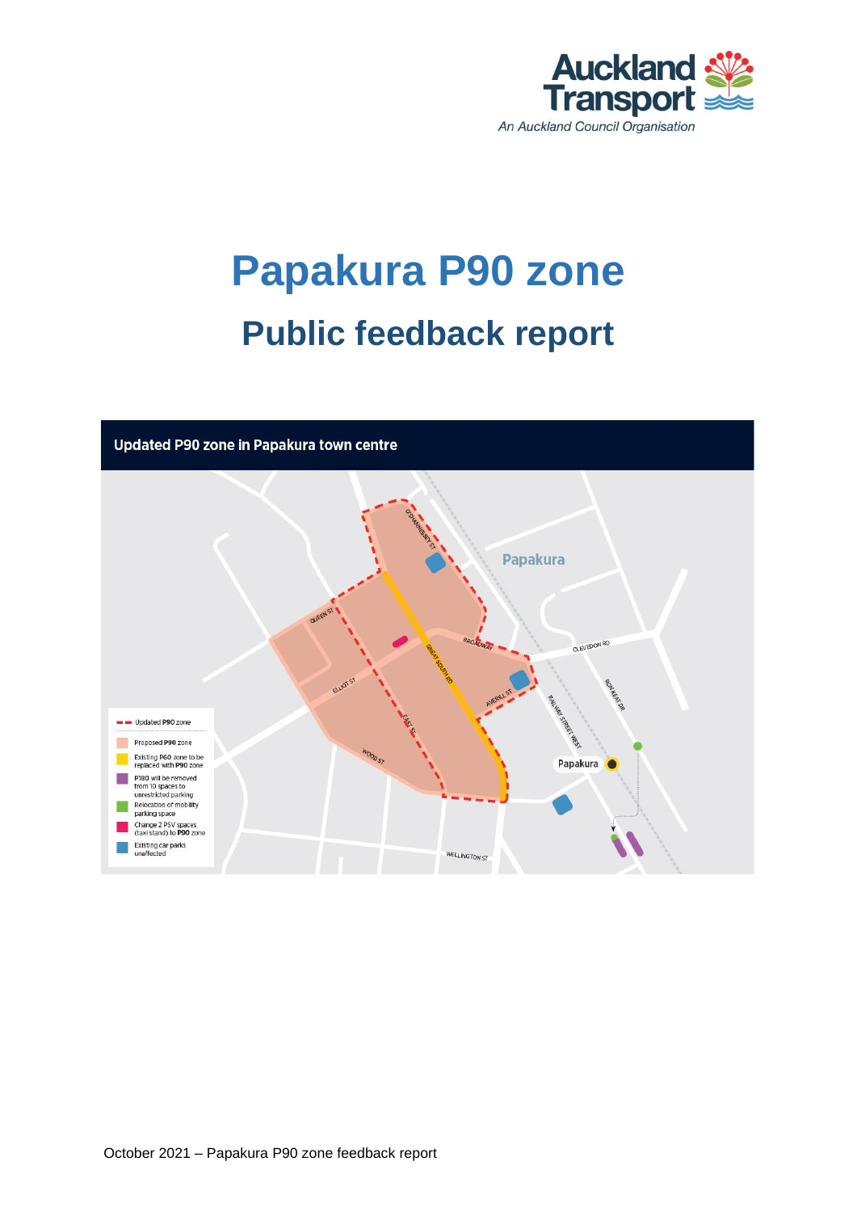

# **Papakura P90 zone Public feedback report**

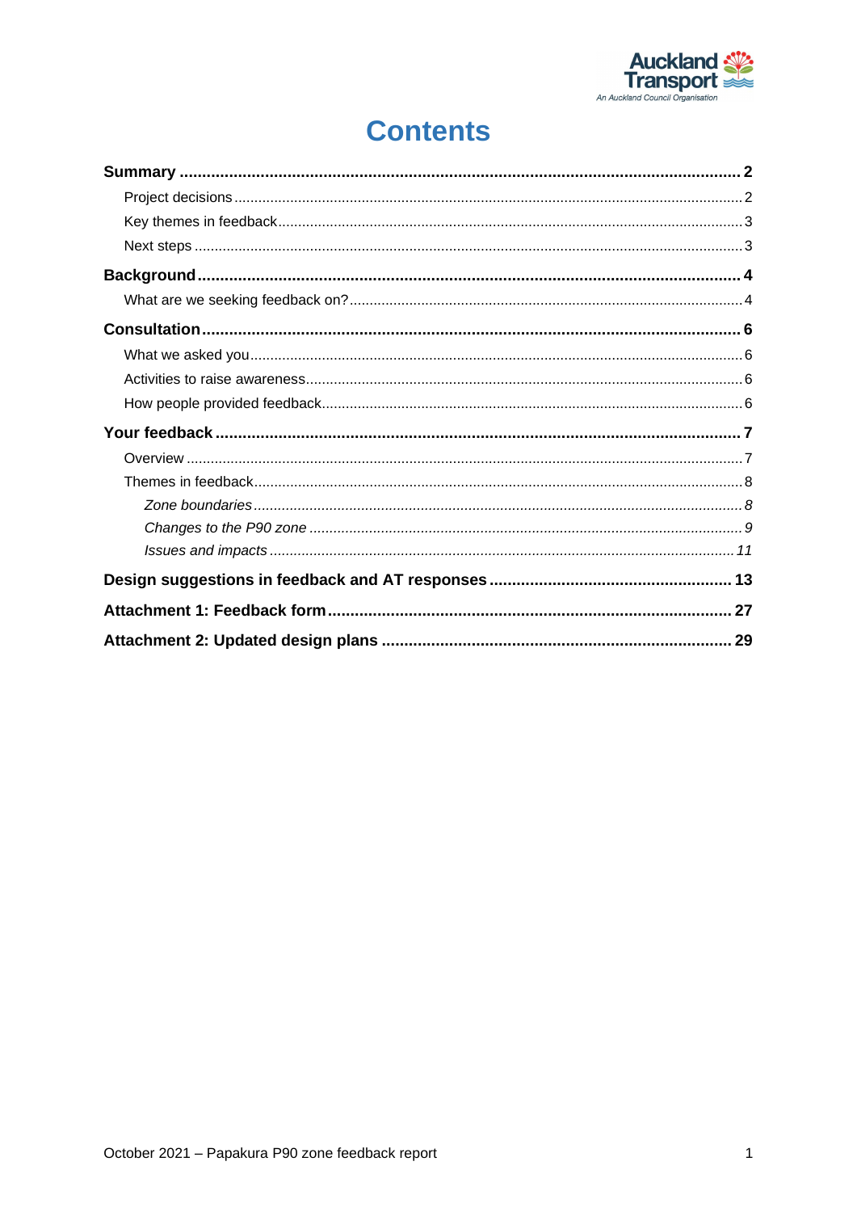

## **Contents**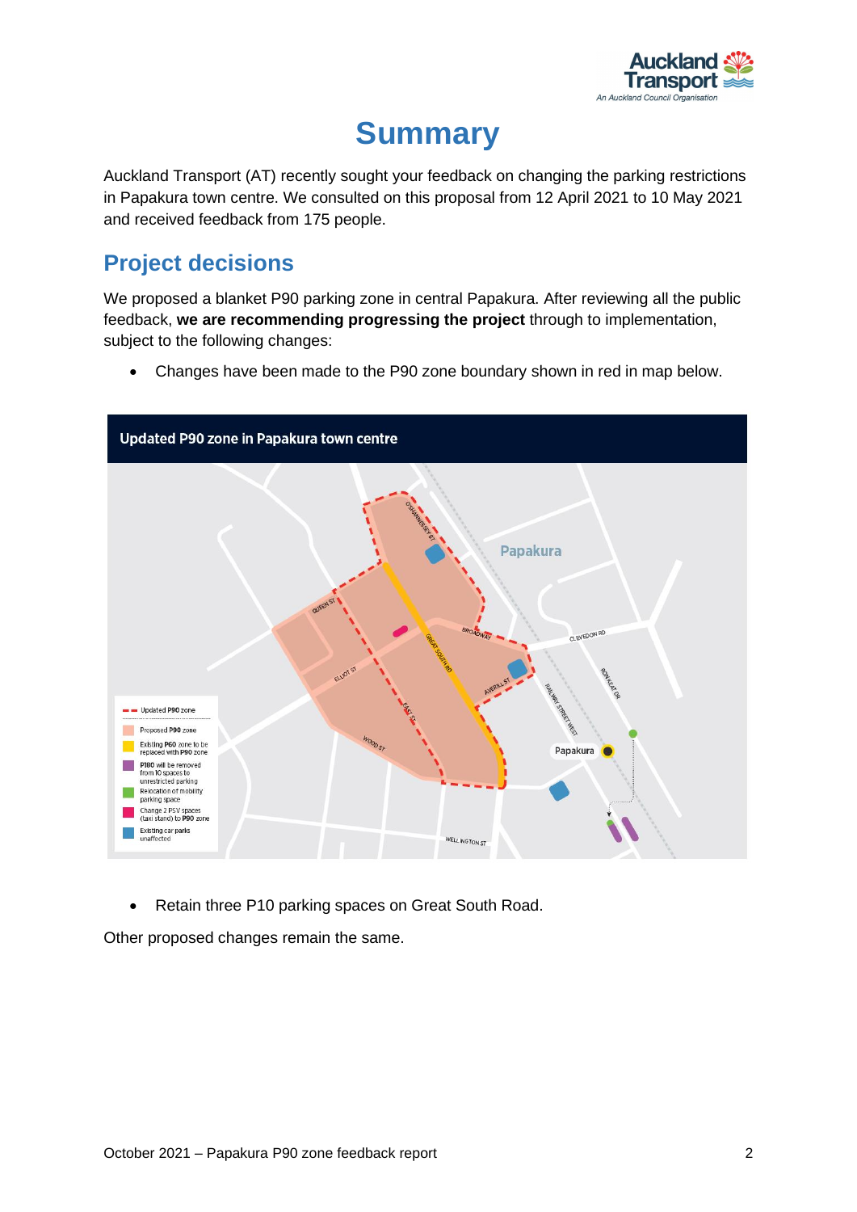

## **Summary**

<span id="page-2-0"></span>Auckland Transport (AT) recently sought your feedback on changing the parking restrictions in Papakura town centre. We consulted on this proposal from 12 April 2021 to 10 May 2021 and received feedback from 175 people.

### <span id="page-2-1"></span>**Project decisions**

We proposed a blanket P90 parking zone in central Papakura. After reviewing all the public feedback, **we are recommending progressing the project** through to implementation, subject to the following changes:

• Changes have been made to the P90 zone boundary shown in red in map below.



• Retain three P10 parking spaces on Great South Road.

Other proposed changes remain the same.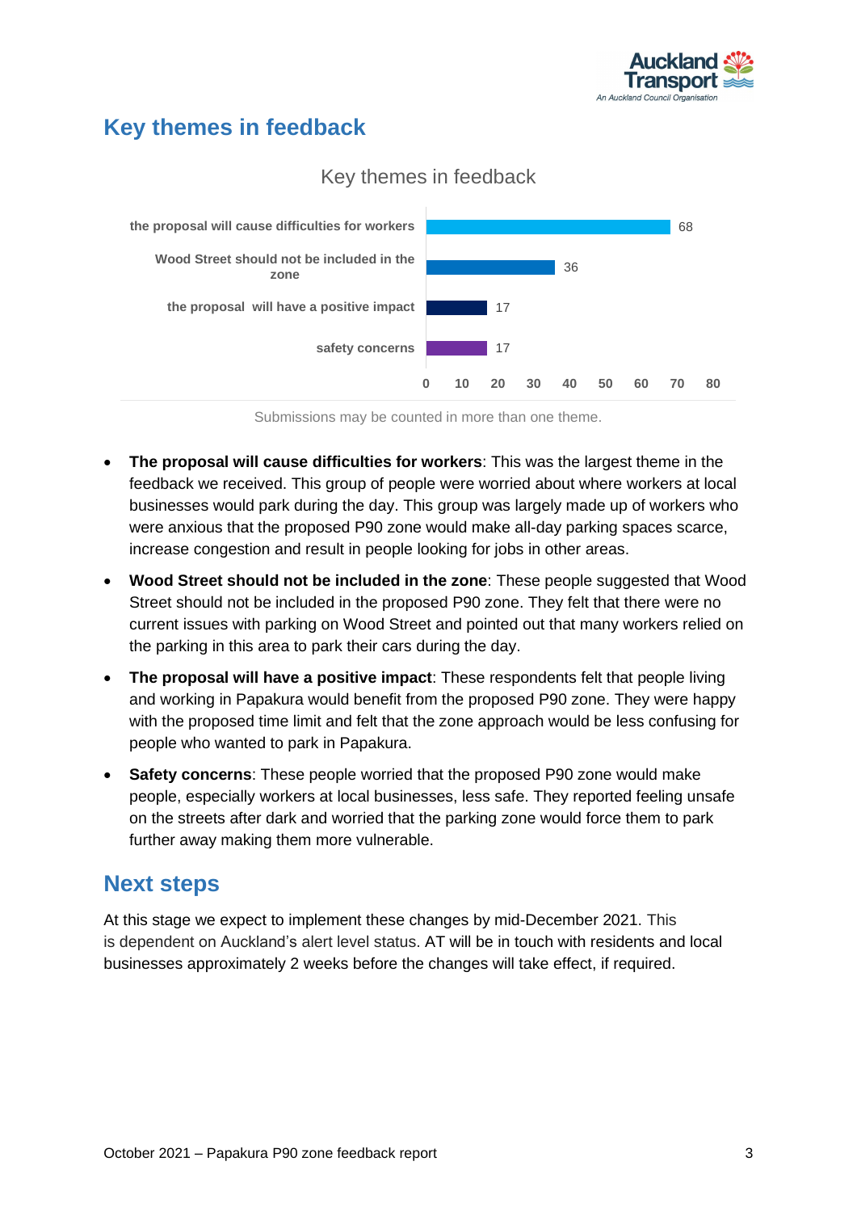

### <span id="page-3-0"></span>**Key themes in feedback**



#### Key themes in feedback

Submissions may be counted in more than one theme.

- **The proposal will cause difficulties for workers**: This was the largest theme in the feedback we received. This group of people were worried about where workers at local businesses would park during the day. This group was largely made up of workers who were anxious that the proposed P90 zone would make all-day parking spaces scarce, increase congestion and result in people looking for jobs in other areas.
- **Wood Street should not be included in the zone**: These people suggested that Wood Street should not be included in the proposed P90 zone. They felt that there were no current issues with parking on Wood Street and pointed out that many workers relied on the parking in this area to park their cars during the day.
- **The proposal will have a positive impact**: These respondents felt that people living and working in Papakura would benefit from the proposed P90 zone. They were happy with the proposed time limit and felt that the zone approach would be less confusing for people who wanted to park in Papakura.
- **Safety concerns**: These people worried that the proposed P90 zone would make people, especially workers at local businesses, less safe. They reported feeling unsafe on the streets after dark and worried that the parking zone would force them to park further away making them more vulnerable.

### <span id="page-3-1"></span>**Next steps**

At this stage we expect to implement these changes by mid-December 2021. This is dependent on Auckland's alert level status. AT will be in touch with residents and local businesses approximately 2 weeks before the changes will take effect, if required.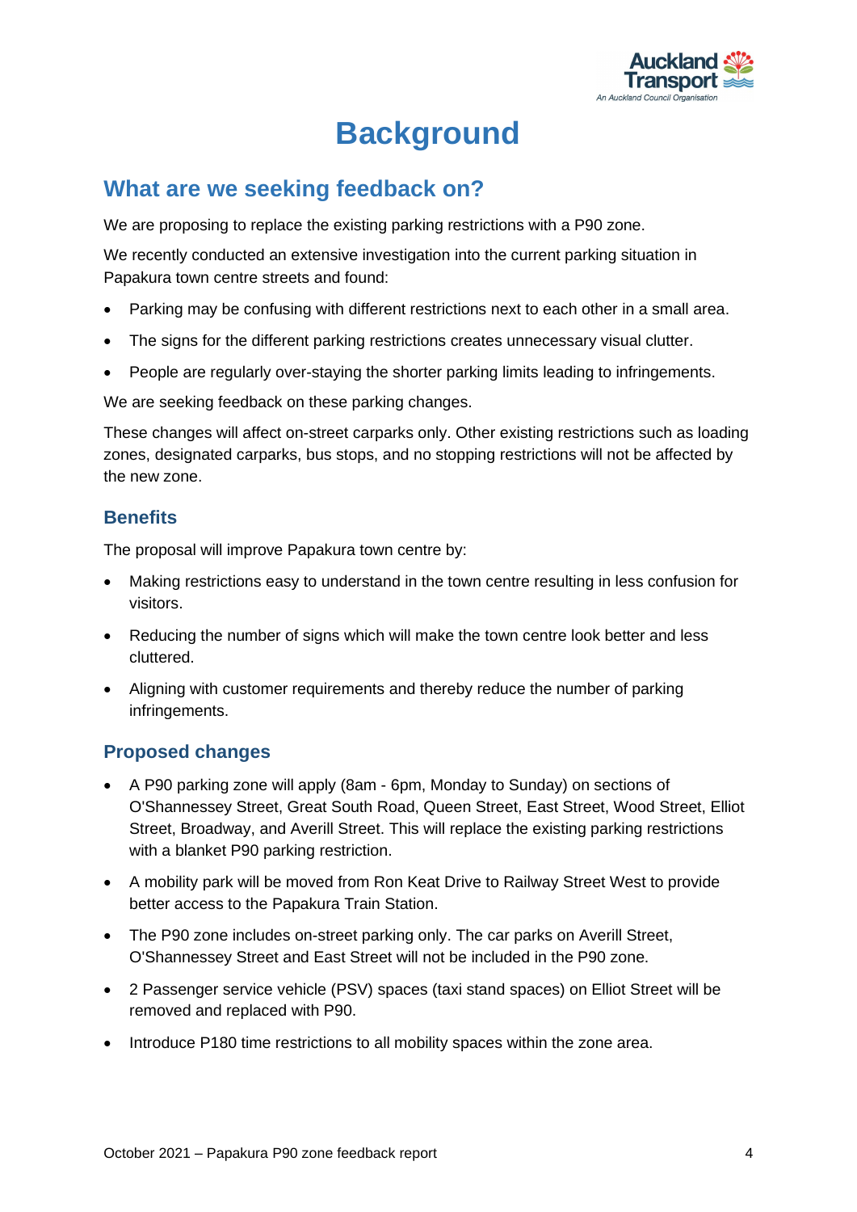

## **Background**

### <span id="page-4-1"></span><span id="page-4-0"></span>**What are we seeking feedback on?**

We are proposing to replace the existing parking restrictions with a P90 zone.

We recently conducted an extensive investigation into the current parking situation in Papakura town centre streets and found:

- Parking may be confusing with different restrictions next to each other in a small area.
- The signs for the different parking restrictions creates unnecessary visual clutter.
- People are regularly over-staying the shorter parking limits leading to infringements.

We are seeking feedback on these parking changes.

These changes will affect on-street carparks only. Other existing restrictions such as loading zones, designated carparks, bus stops, and no stopping restrictions will not be affected by the new zone.

#### **Benefits**

The proposal will improve Papakura town centre by:

- Making restrictions easy to understand in the town centre resulting in less confusion for visitors.
- Reducing the number of signs which will make the town centre look better and less cluttered.
- Aligning with customer requirements and thereby reduce the number of parking infringements.

#### **Proposed changes**

- A P90 parking zone will apply (8am 6pm, Monday to Sunday) on sections of O'Shannessey Street, Great South Road, Queen Street, East Street, Wood Street, Elliot Street, Broadway, and Averill Street. This will replace the existing parking restrictions with a blanket P90 parking restriction.
- A mobility park will be moved from Ron Keat Drive to Railway Street West to provide better access to the Papakura Train Station.
- The P90 zone includes on-street parking only. The car parks on Averill Street, O'Shannessey Street and East Street will not be included in the P90 zone.
- 2 Passenger service vehicle (PSV) spaces (taxi stand spaces) on Elliot Street will be removed and replaced with P90.
- Introduce P180 time restrictions to all mobility spaces within the zone area.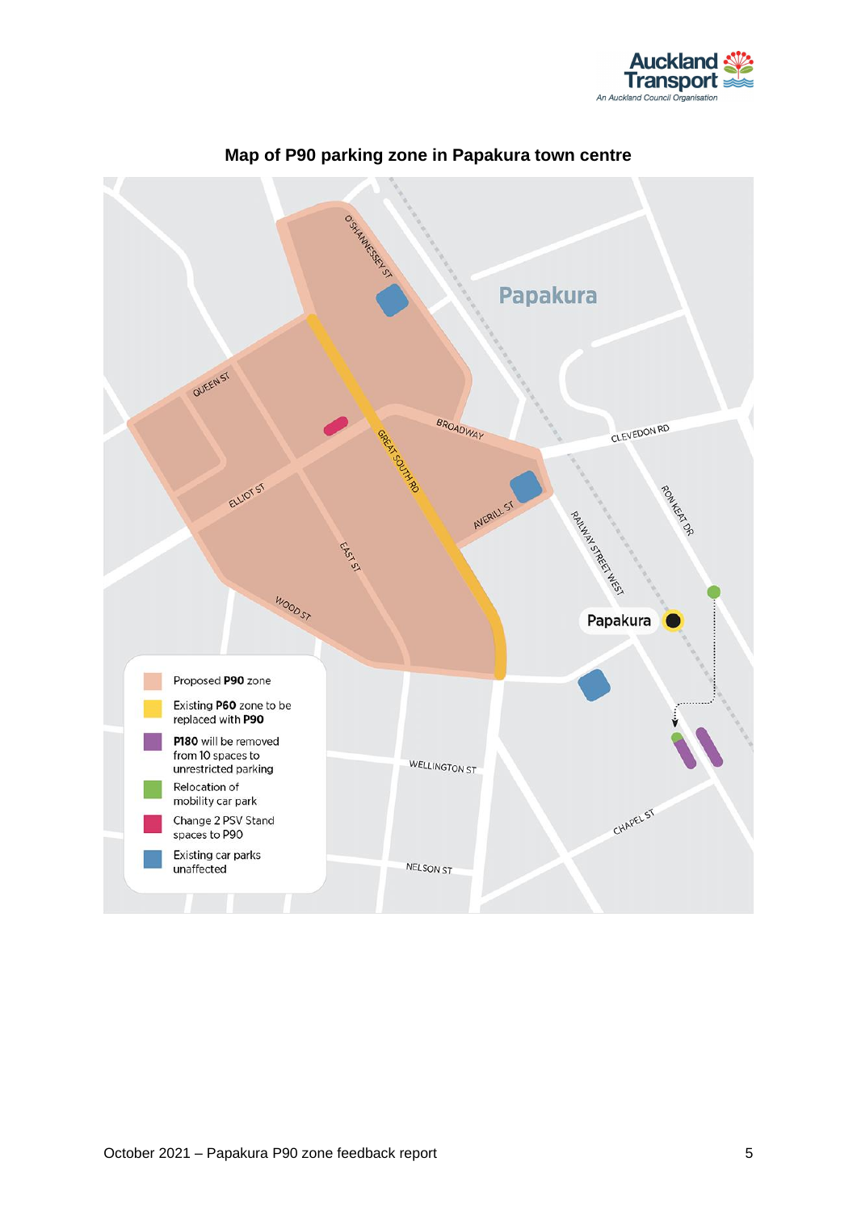



#### **Map of P90 parking zone in Papakura town centre**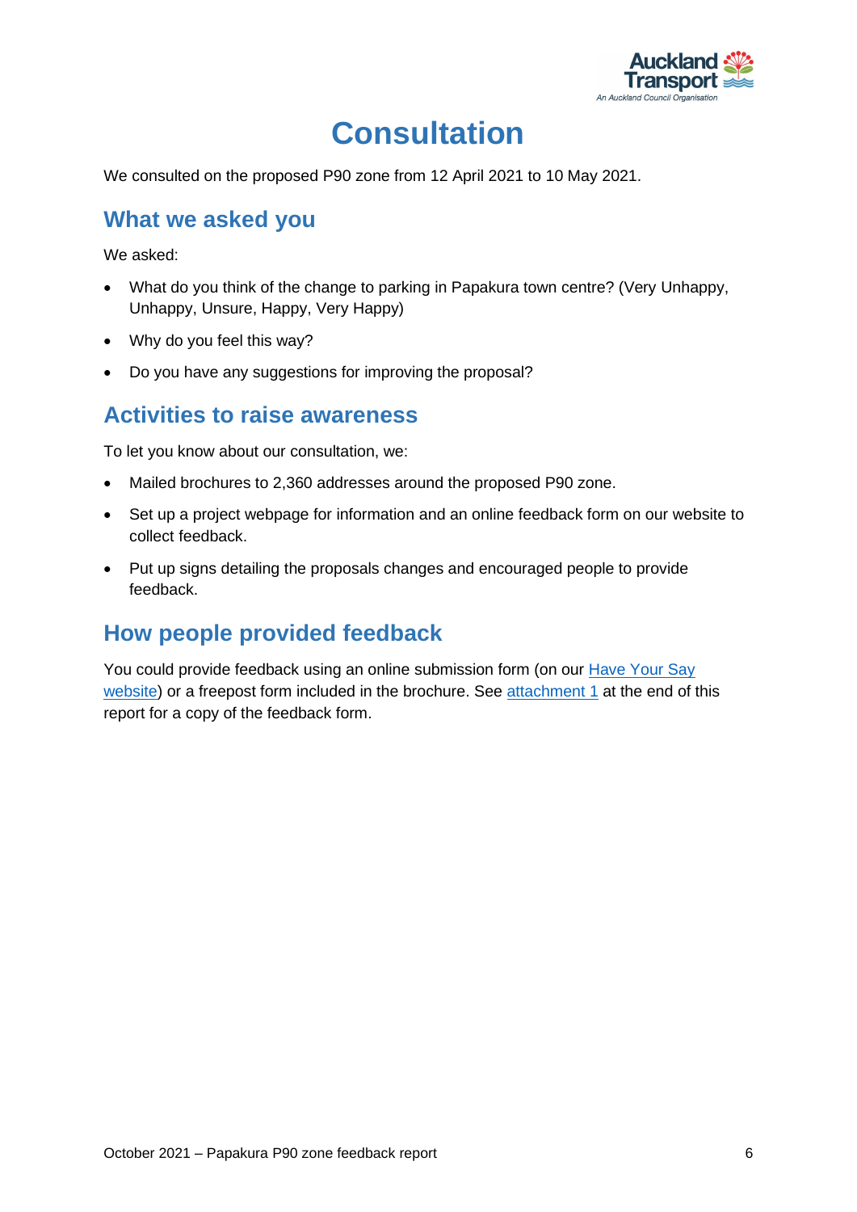

## **Consultation**

<span id="page-6-0"></span>We consulted on the proposed P90 zone from 12 April 2021 to 10 May 2021.

### <span id="page-6-1"></span>**What we asked you**

We asked:

- What do you think of the change to parking in Papakura town centre? (Very Unhappy, Unhappy, Unsure, Happy, Very Happy)
- Why do you feel this way?
- Do you have any suggestions for improving the proposal?

### <span id="page-6-2"></span>**Activities to raise awareness**

To let you know about our consultation, we:

- Mailed brochures to 2,360 addresses around the proposed P90 zone.
- Set up a project webpage for information and an online feedback form on our website to collect feedback.
- Put up signs detailing the proposals changes and encouraged people to provide feedback.

### <span id="page-6-3"></span>**How people provided feedback**

You could provide feedback using an online submission form (on our [Have Your Say](https://at.govt.nz/haveyoursay)  [website\)](https://at.govt.nz/haveyoursay) or a freepost form included in the brochure. See [attachment](#page-27-0) 1 at the end of this report for a copy of the feedback form.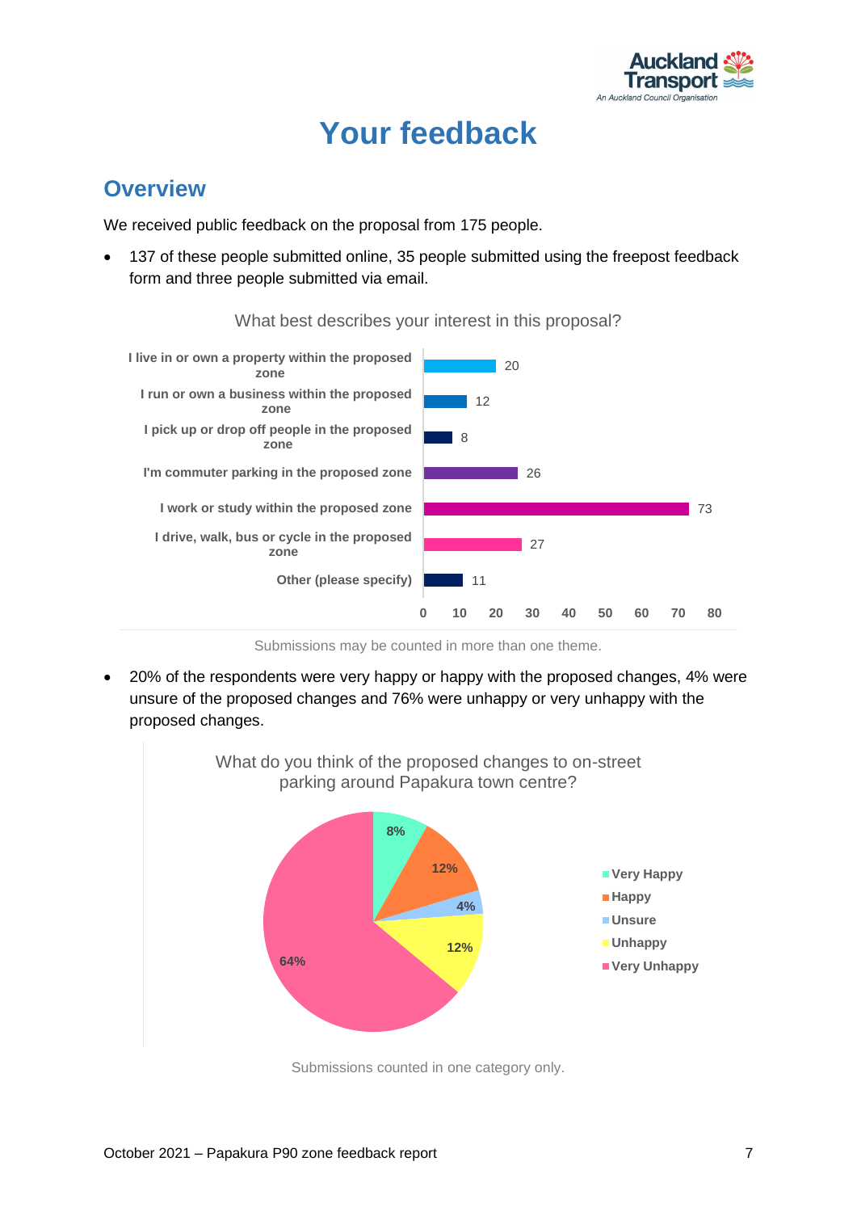

## **Your feedback**

### <span id="page-7-1"></span><span id="page-7-0"></span>**Overview**

We received public feedback on the proposal from 175 people.

137 of these people submitted online, 35 people submitted using the freepost feedback form and three people submitted via email.



What best describes your interest in this proposal?

Submissions may be counted in more than one theme.

• 20% of the respondents were very happy or happy with the proposed changes, 4% were unsure of the proposed changes and 76% were unhappy or very unhappy with the proposed changes.



Submissions counted in one category only.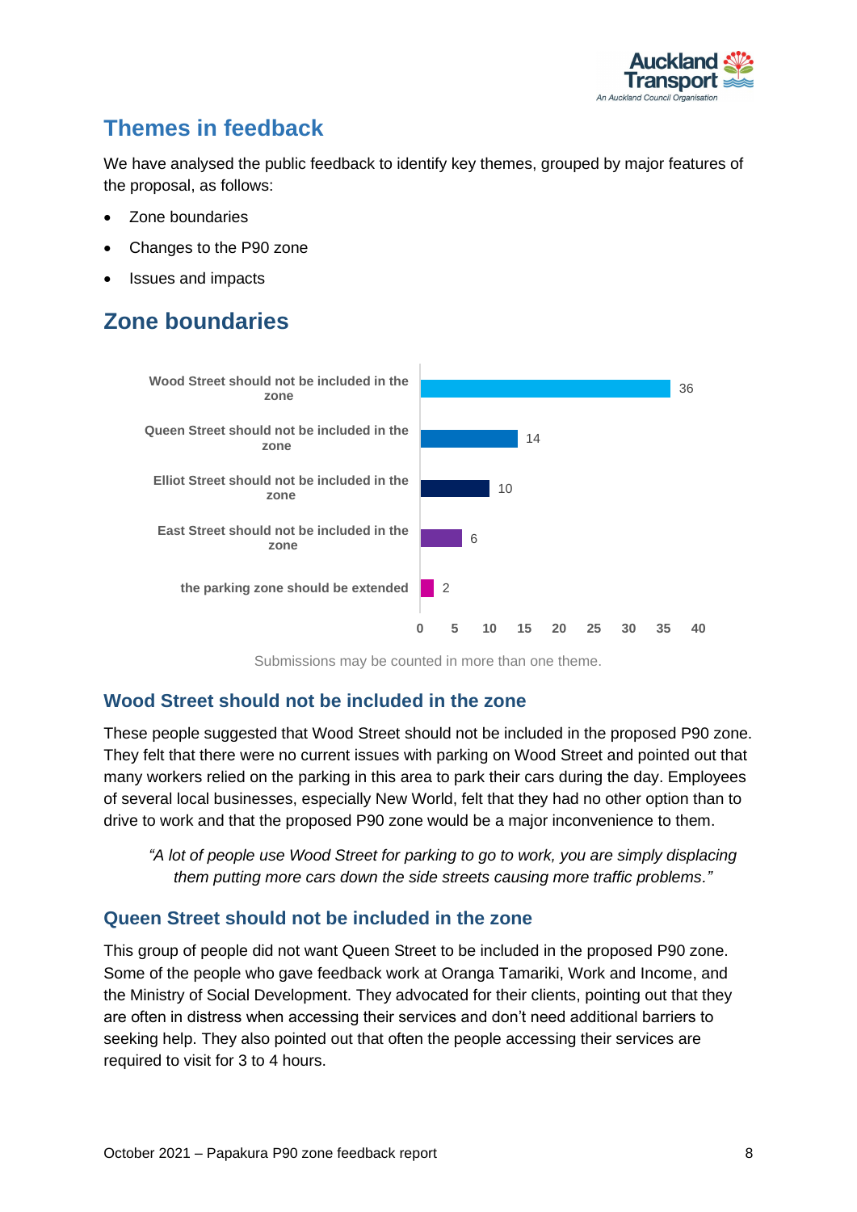

## <span id="page-8-0"></span>**Themes in feedback**

We have analysed the public feedback to identify key themes, grouped by major features of the proposal, as follows:

- Zone boundaries
- Changes to the P90 zone
- Issues and impacts

## <span id="page-8-1"></span>**Zone boundaries**



Submissions may be counted in more than one theme.

#### **Wood Street should not be included in the zone**

These people suggested that Wood Street should not be included in the proposed P90 zone. They felt that there were no current issues with parking on Wood Street and pointed out that many workers relied on the parking in this area to park their cars during the day. Employees of several local businesses, especially New World, felt that they had no other option than to drive to work and that the proposed P90 zone would be a major inconvenience to them.

*"A lot of people use Wood Street for parking to go to work, you are simply displacing them putting more cars down the side streets causing more traffic problems."*

#### **Queen Street should not be included in the zone**

This group of people did not want Queen Street to be included in the proposed P90 zone. Some of the people who gave feedback work at Oranga Tamariki, Work and Income, and the Ministry of Social Development. They advocated for their clients, pointing out that they are often in distress when accessing their services and don't need additional barriers to seeking help. They also pointed out that often the people accessing their services are required to visit for 3 to 4 hours.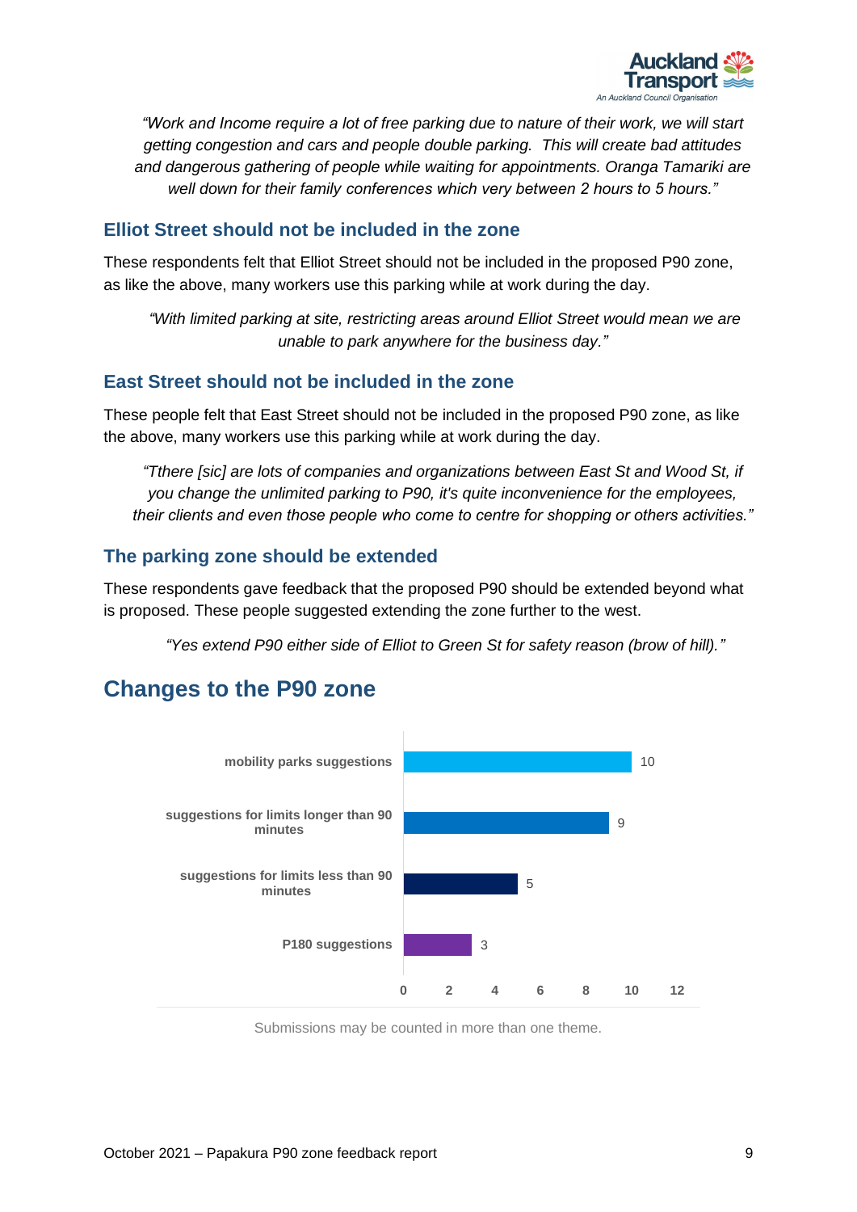

*"Work and Income require a lot of free parking due to nature of their work, we will start getting congestion and cars and people double parking. This will create bad attitudes and dangerous gathering of people while waiting for appointments. Oranga Tamariki are well down for their family conferences which very between 2 hours to 5 hours."*

#### **Elliot Street should not be included in the zone**

These respondents felt that Elliot Street should not be included in the proposed P90 zone, as like the above, many workers use this parking while at work during the day.

*"With limited parking at site, restricting areas around Elliot Street would mean we are unable to park anywhere for the business day."*

#### **East Street should not be included in the zone**

These people felt that East Street should not be included in the proposed P90 zone, as like the above, many workers use this parking while at work during the day.

*"Tthere [sic] are lots of companies and organizations between East St and Wood St, if you change the unlimited parking to P90, it's quite inconvenience for the employees, their clients and even those people who come to centre for shopping or others activities."*

#### **The parking zone should be extended**

These respondents gave feedback that the proposed P90 should be extended beyond what is proposed. These people suggested extending the zone further to the west.

*"Yes extend P90 either side of Elliot to Green St for safety reason (brow of hill)."*

### <span id="page-9-0"></span>**Changes to the P90 zone**



Submissions may be counted in more than one theme.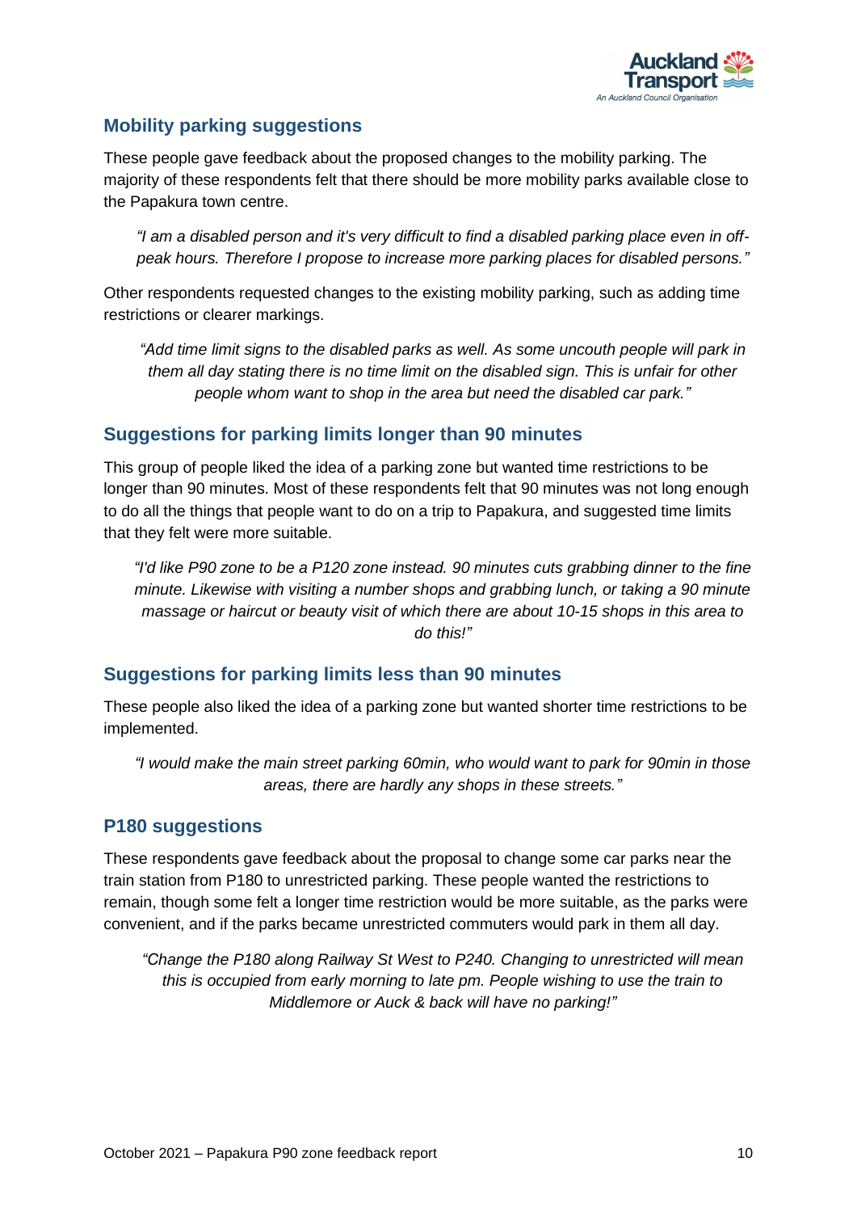

#### **Mobility parking suggestions**

These people gave feedback about the proposed changes to the mobility parking. The majority of these respondents felt that there should be more mobility parks available close to the Papakura town centre.

*"I am a disabled person and it's very difficult to find a disabled parking place even in offpeak hours. Therefore I propose to increase more parking places for disabled persons."*

Other respondents requested changes to the existing mobility parking, such as adding time restrictions or clearer markings.

*"Add time limit signs to the disabled parks as well. As some uncouth people will park in them all day stating there is no time limit on the disabled sign. This is unfair for other people whom want to shop in the area but need the disabled car park."*

#### **Suggestions for parking limits longer than 90 minutes**

This group of people liked the idea of a parking zone but wanted time restrictions to be longer than 90 minutes. Most of these respondents felt that 90 minutes was not long enough to do all the things that people want to do on a trip to Papakura, and suggested time limits that they felt were more suitable.

*"I'd like P90 zone to be a P120 zone instead. 90 minutes cuts grabbing dinner to the fine minute. Likewise with visiting a number shops and grabbing lunch, or taking a 90 minute massage or haircut or beauty visit of which there are about 10-15 shops in this area to do this!"*

#### **Suggestions for parking limits less than 90 minutes**

These people also liked the idea of a parking zone but wanted shorter time restrictions to be implemented.

*"I would make the main street parking 60min, who would want to park for 90min in those areas, there are hardly any shops in these streets."*

#### **P180 suggestions**

These respondents gave feedback about the proposal to change some car parks near the train station from P180 to unrestricted parking. These people wanted the restrictions to remain, though some felt a longer time restriction would be more suitable, as the parks were convenient, and if the parks became unrestricted commuters would park in them all day.

*"Change the P180 along Railway St West to P240. Changing to unrestricted will mean this is occupied from early morning to late pm. People wishing to use the train to Middlemore or Auck & back will have no parking!"*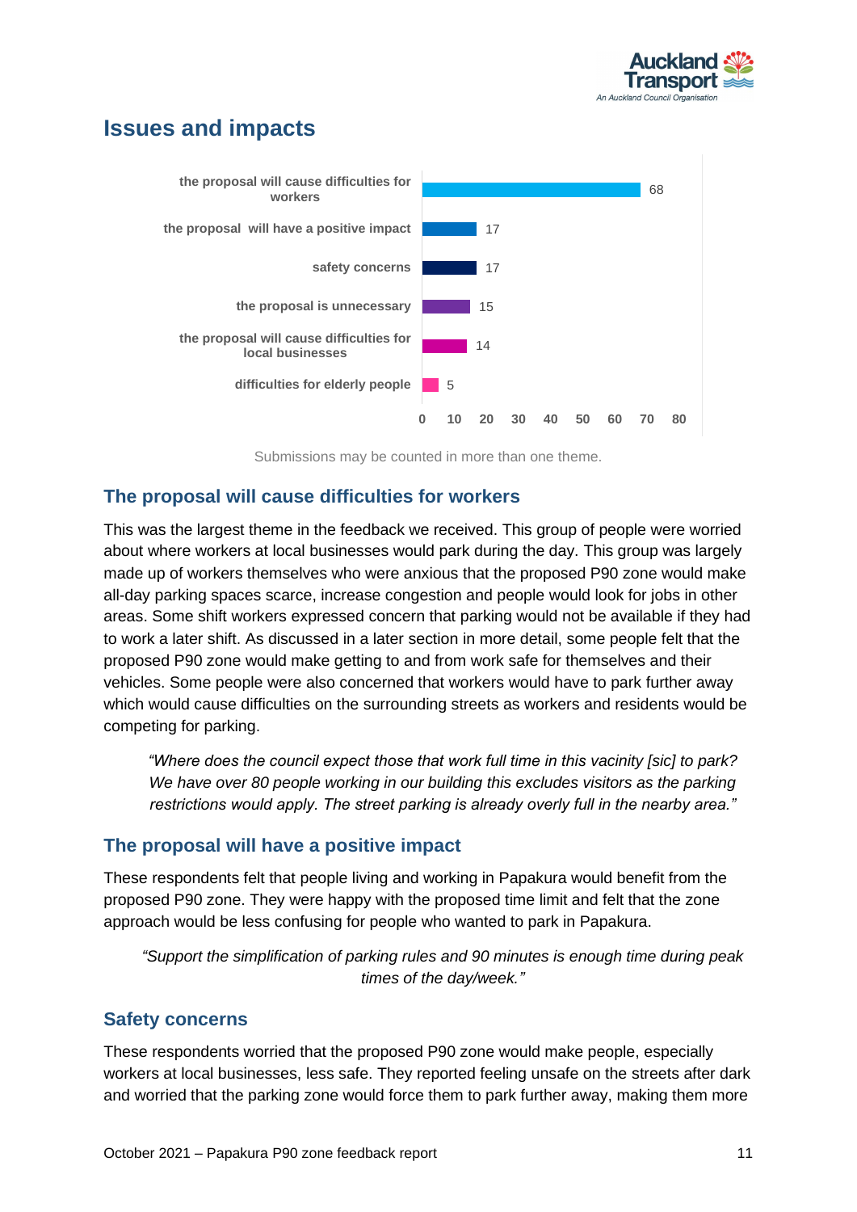

### <span id="page-11-0"></span>**Issues and impacts**



Submissions may be counted in more than one theme.

#### **The proposal will cause difficulties for workers**

This was the largest theme in the feedback we received. This group of people were worried about where workers at local businesses would park during the day. This group was largely made up of workers themselves who were anxious that the proposed P90 zone would make all-day parking spaces scarce, increase congestion and people would look for jobs in other areas. Some shift workers expressed concern that parking would not be available if they had to work a later shift. As discussed in a later section in more detail, some people felt that the proposed P90 zone would make getting to and from work safe for themselves and their vehicles. Some people were also concerned that workers would have to park further away which would cause difficulties on the surrounding streets as workers and residents would be competing for parking.

*"Where does the council expect those that work full time in this vacinity [sic] to park? We have over 80 people working in our building this excludes visitors as the parking restrictions would apply. The street parking is already overly full in the nearby area."*

#### **The proposal will have a positive impact**

These respondents felt that people living and working in Papakura would benefit from the proposed P90 zone. They were happy with the proposed time limit and felt that the zone approach would be less confusing for people who wanted to park in Papakura.

*"Support the simplification of parking rules and 90 minutes is enough time during peak times of the day/week."*

#### **Safety concerns**

These respondents worried that the proposed P90 zone would make people, especially workers at local businesses, less safe. They reported feeling unsafe on the streets after dark and worried that the parking zone would force them to park further away, making them more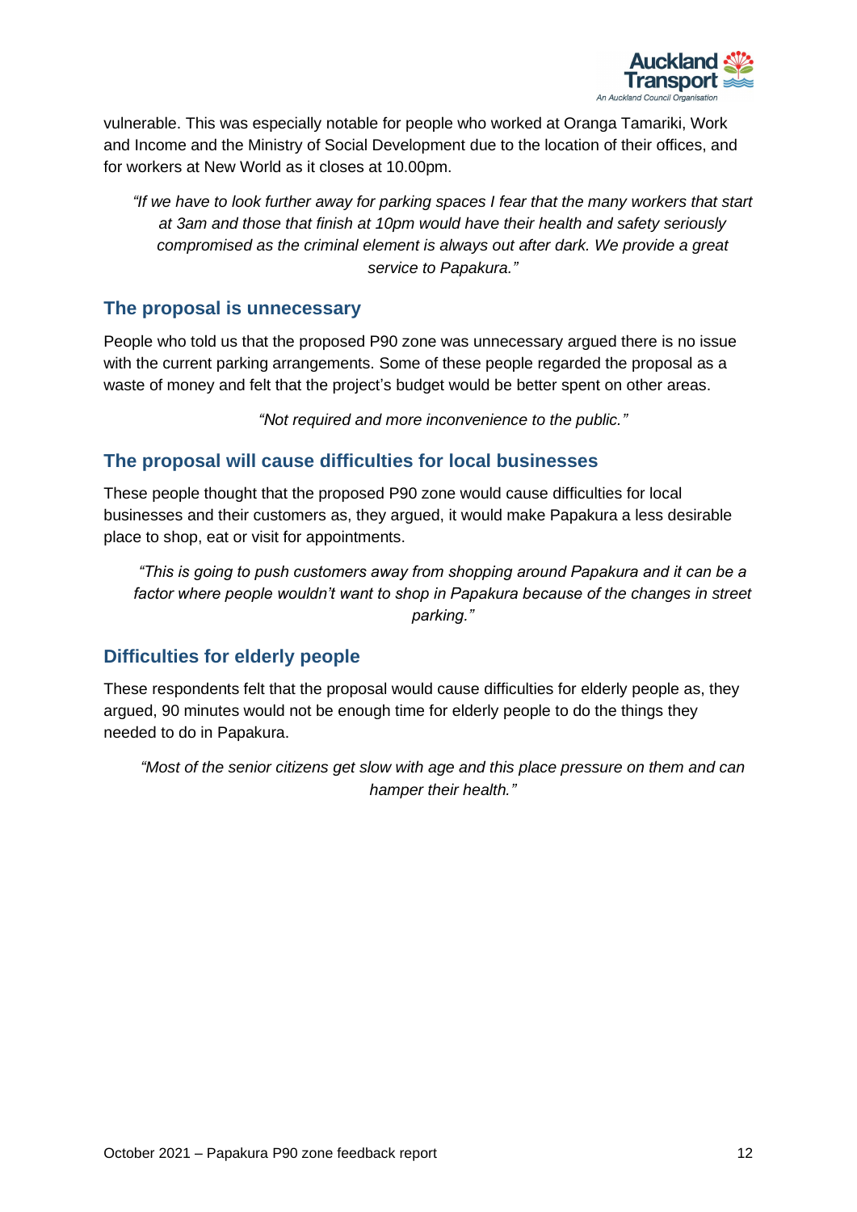

vulnerable. This was especially notable for people who worked at Oranga Tamariki, Work and Income and the Ministry of Social Development due to the location of their offices, and for workers at New World as it closes at 10.00pm.

*"If we have to look further away for parking spaces I fear that the many workers that start at 3am and those that finish at 10pm would have their health and safety seriously compromised as the criminal element is always out after dark. We provide a great service to Papakura."*

#### **The proposal is unnecessary**

People who told us that the proposed P90 zone was unnecessary argued there is no issue with the current parking arrangements. Some of these people regarded the proposal as a waste of money and felt that the project's budget would be better spent on other areas.

*"Not required and more inconvenience to the public."*

#### **The proposal will cause difficulties for local businesses**

These people thought that the proposed P90 zone would cause difficulties for local businesses and their customers as, they argued, it would make Papakura a less desirable place to shop, eat or visit for appointments.

*"This is going to push customers away from shopping around Papakura and it can be a*  factor where people wouldn't want to shop in Papakura because of the changes in street *parking."*

#### **Difficulties for elderly people**

These respondents felt that the proposal would cause difficulties for elderly people as, they argued, 90 minutes would not be enough time for elderly people to do the things they needed to do in Papakura.

*"Most of the senior citizens get slow with age and this place pressure on them and can hamper their health."*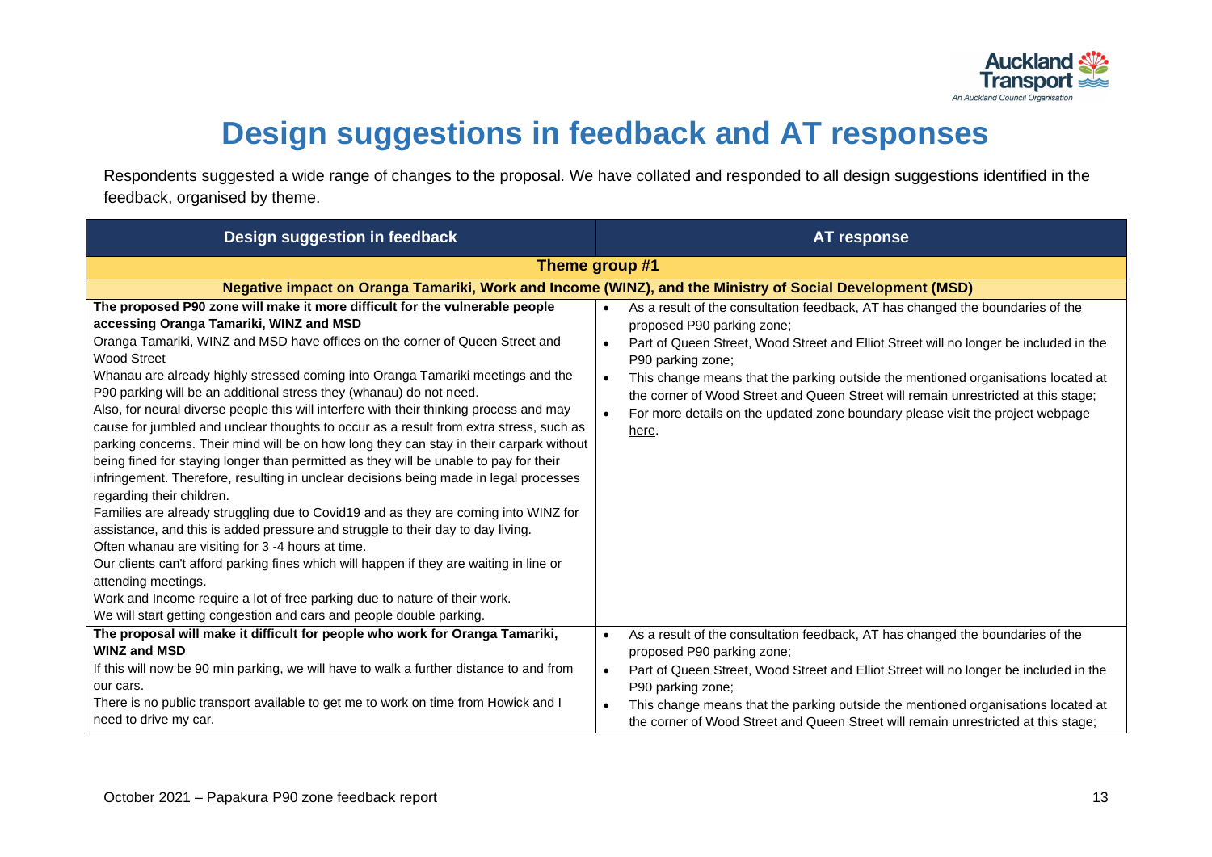

## **Design suggestions in feedback and AT responses**

Respondents suggested a wide range of changes to the proposal. We have collated and responded to all design suggestions identified in the feedback, organised by theme.

<span id="page-13-0"></span>

| Design suggestion in feedback                                                                                                                                                                                                                                                                                                                                                                                                                                                                                                                                                                                                                                                                                                                                                                                                                                                                                                                                                                                                                                                                                                                                                                                                                                                                                                                                                                | <b>AT response</b>                                                                                                                                                                                                                                                                                                                                                                                                                                                                                                         |
|----------------------------------------------------------------------------------------------------------------------------------------------------------------------------------------------------------------------------------------------------------------------------------------------------------------------------------------------------------------------------------------------------------------------------------------------------------------------------------------------------------------------------------------------------------------------------------------------------------------------------------------------------------------------------------------------------------------------------------------------------------------------------------------------------------------------------------------------------------------------------------------------------------------------------------------------------------------------------------------------------------------------------------------------------------------------------------------------------------------------------------------------------------------------------------------------------------------------------------------------------------------------------------------------------------------------------------------------------------------------------------------------|----------------------------------------------------------------------------------------------------------------------------------------------------------------------------------------------------------------------------------------------------------------------------------------------------------------------------------------------------------------------------------------------------------------------------------------------------------------------------------------------------------------------------|
|                                                                                                                                                                                                                                                                                                                                                                                                                                                                                                                                                                                                                                                                                                                                                                                                                                                                                                                                                                                                                                                                                                                                                                                                                                                                                                                                                                                              | Theme group #1                                                                                                                                                                                                                                                                                                                                                                                                                                                                                                             |
|                                                                                                                                                                                                                                                                                                                                                                                                                                                                                                                                                                                                                                                                                                                                                                                                                                                                                                                                                                                                                                                                                                                                                                                                                                                                                                                                                                                              | Negative impact on Oranga Tamariki, Work and Income (WINZ), and the Ministry of Social Development (MSD)                                                                                                                                                                                                                                                                                                                                                                                                                   |
| The proposed P90 zone will make it more difficult for the vulnerable people<br>accessing Oranga Tamariki, WINZ and MSD<br>Oranga Tamariki, WINZ and MSD have offices on the corner of Queen Street and<br><b>Wood Street</b><br>Whanau are already highly stressed coming into Oranga Tamariki meetings and the<br>P90 parking will be an additional stress they (whanau) do not need.<br>Also, for neural diverse people this will interfere with their thinking process and may<br>cause for jumbled and unclear thoughts to occur as a result from extra stress, such as<br>parking concerns. Their mind will be on how long they can stay in their carpark without<br>being fined for staying longer than permitted as they will be unable to pay for their<br>infringement. Therefore, resulting in unclear decisions being made in legal processes<br>regarding their children.<br>Families are already struggling due to Covid19 and as they are coming into WINZ for<br>assistance, and this is added pressure and struggle to their day to day living.<br>Often whanau are visiting for 3 -4 hours at time.<br>Our clients can't afford parking fines which will happen if they are waiting in line or<br>attending meetings.<br>Work and Income require a lot of free parking due to nature of their work.<br>We will start getting congestion and cars and people double parking. | As a result of the consultation feedback, AT has changed the boundaries of the<br>proposed P90 parking zone;<br>Part of Queen Street, Wood Street and Elliot Street will no longer be included in the<br>P90 parking zone;<br>This change means that the parking outside the mentioned organisations located at<br>$\bullet$<br>the corner of Wood Street and Queen Street will remain unrestricted at this stage;<br>For more details on the updated zone boundary please visit the project webpage<br>$\bullet$<br>here. |
| The proposal will make it difficult for people who work for Oranga Tamariki,<br><b>WINZ and MSD</b>                                                                                                                                                                                                                                                                                                                                                                                                                                                                                                                                                                                                                                                                                                                                                                                                                                                                                                                                                                                                                                                                                                                                                                                                                                                                                          | As a result of the consultation feedback, AT has changed the boundaries of the<br>$\bullet$<br>proposed P90 parking zone;                                                                                                                                                                                                                                                                                                                                                                                                  |
| If this will now be 90 min parking, we will have to walk a further distance to and from<br>our cars.                                                                                                                                                                                                                                                                                                                                                                                                                                                                                                                                                                                                                                                                                                                                                                                                                                                                                                                                                                                                                                                                                                                                                                                                                                                                                         | Part of Queen Street, Wood Street and Elliot Street will no longer be included in the<br>P90 parking zone;                                                                                                                                                                                                                                                                                                                                                                                                                 |
| There is no public transport available to get me to work on time from Howick and I<br>need to drive my car.                                                                                                                                                                                                                                                                                                                                                                                                                                                                                                                                                                                                                                                                                                                                                                                                                                                                                                                                                                                                                                                                                                                                                                                                                                                                                  | This change means that the parking outside the mentioned organisations located at<br>the corner of Wood Street and Queen Street will remain unrestricted at this stage;                                                                                                                                                                                                                                                                                                                                                    |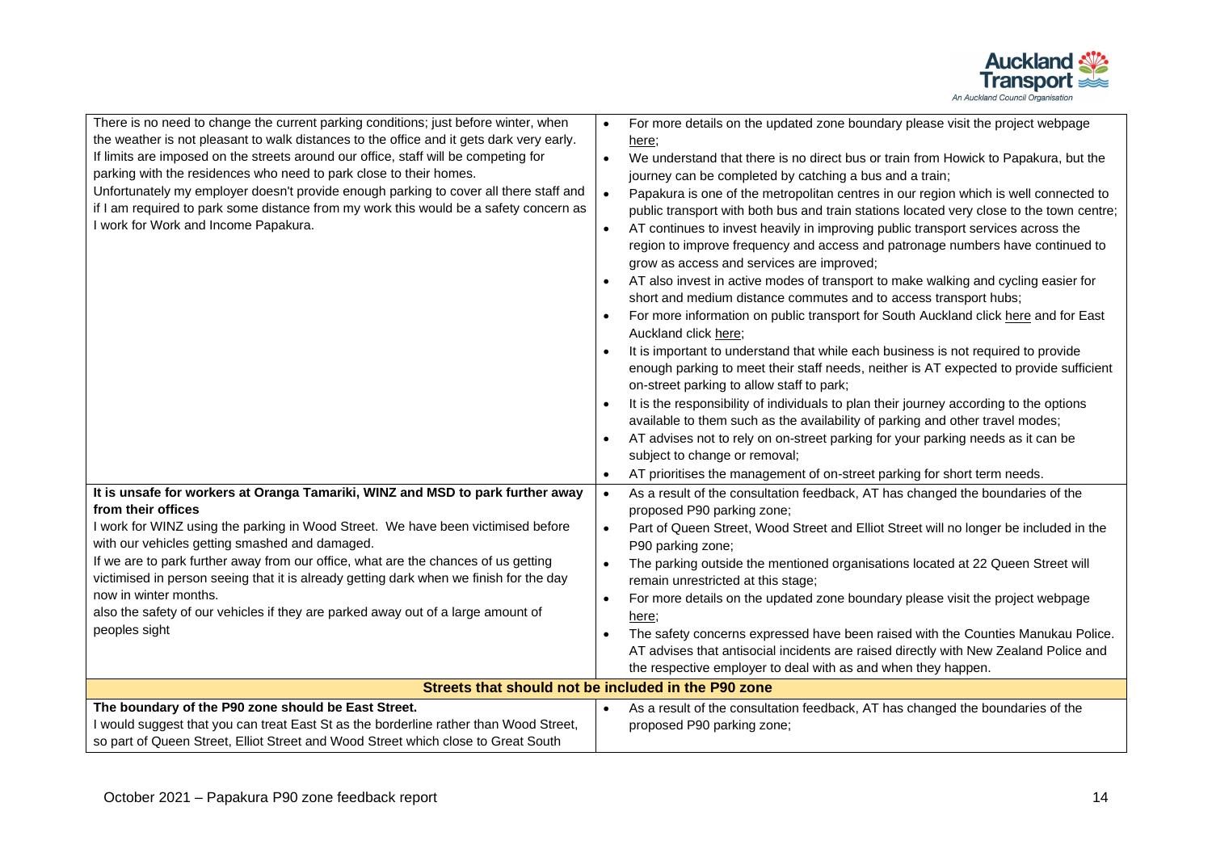

| There is no need to change the current parking conditions; just before winter, when      | For more details on the updated zone boundary please visit the project webpage                    |
|------------------------------------------------------------------------------------------|---------------------------------------------------------------------------------------------------|
| the weather is not pleasant to walk distances to the office and it gets dark very early. | here;                                                                                             |
| If limits are imposed on the streets around our office, staff will be competing for      | We understand that there is no direct bus or train from Howick to Papakura, but the<br>$\bullet$  |
| parking with the residences who need to park close to their homes.                       | journey can be completed by catching a bus and a train;                                           |
| Unfortunately my employer doesn't provide enough parking to cover all there staff and    | Papakura is one of the metropolitan centres in our region which is well connected to<br>$\bullet$ |
| if I am required to park some distance from my work this would be a safety concern as    | public transport with both bus and train stations located very close to the town centre;          |
| I work for Work and Income Papakura.                                                     | AT continues to invest heavily in improving public transport services across the                  |
|                                                                                          | region to improve frequency and access and patronage numbers have continued to                    |
|                                                                                          | grow as access and services are improved;                                                         |
|                                                                                          | AT also invest in active modes of transport to make walking and cycling easier for                |
|                                                                                          | short and medium distance commutes and to access transport hubs;                                  |
|                                                                                          | For more information on public transport for South Auckland click here and for East               |
|                                                                                          | Auckland click here;                                                                              |
|                                                                                          | It is important to understand that while each business is not required to provide                 |
|                                                                                          | enough parking to meet their staff needs, neither is AT expected to provide sufficient            |
|                                                                                          | on-street parking to allow staff to park;                                                         |
|                                                                                          | It is the responsibility of individuals to plan their journey according to the options            |
|                                                                                          | available to them such as the availability of parking and other travel modes;                     |
|                                                                                          | AT advises not to rely on on-street parking for your parking needs as it can be<br>$\bullet$      |
|                                                                                          | subject to change or removal;                                                                     |
|                                                                                          | AT prioritises the management of on-street parking for short term needs.<br>$\bullet$             |
| It is unsafe for workers at Oranga Tamariki, WINZ and MSD to park further away           | As a result of the consultation feedback, AT has changed the boundaries of the<br>$\bullet$       |
| from their offices                                                                       | proposed P90 parking zone;                                                                        |
| I work for WINZ using the parking in Wood Street. We have been victimised before         | Part of Queen Street, Wood Street and Elliot Street will no longer be included in the             |
| with our vehicles getting smashed and damaged.                                           | P90 parking zone;                                                                                 |
| If we are to park further away from our office, what are the chances of us getting       | The parking outside the mentioned organisations located at 22 Queen Street will                   |
| victimised in person seeing that it is already getting dark when we finish for the day   | remain unrestricted at this stage;                                                                |
| now in winter months.                                                                    | For more details on the updated zone boundary please visit the project webpage                    |
| also the safety of our vehicles if they are parked away out of a large amount of         | here:                                                                                             |
| peoples sight                                                                            | The safety concerns expressed have been raised with the Counties Manukau Police.                  |
|                                                                                          | AT advises that antisocial incidents are raised directly with New Zealand Police and              |
|                                                                                          | the respective employer to deal with as and when they happen.                                     |
| Streets that should not be included in the P90 zone                                      |                                                                                                   |
| The boundary of the P90 zone should be East Street.                                      | As a result of the consultation feedback, AT has changed the boundaries of the                    |
| I would suggest that you can treat East St as the borderline rather than Wood Street,    | proposed P90 parking zone;                                                                        |
| so part of Queen Street, Elliot Street and Wood Street which close to Great South        |                                                                                                   |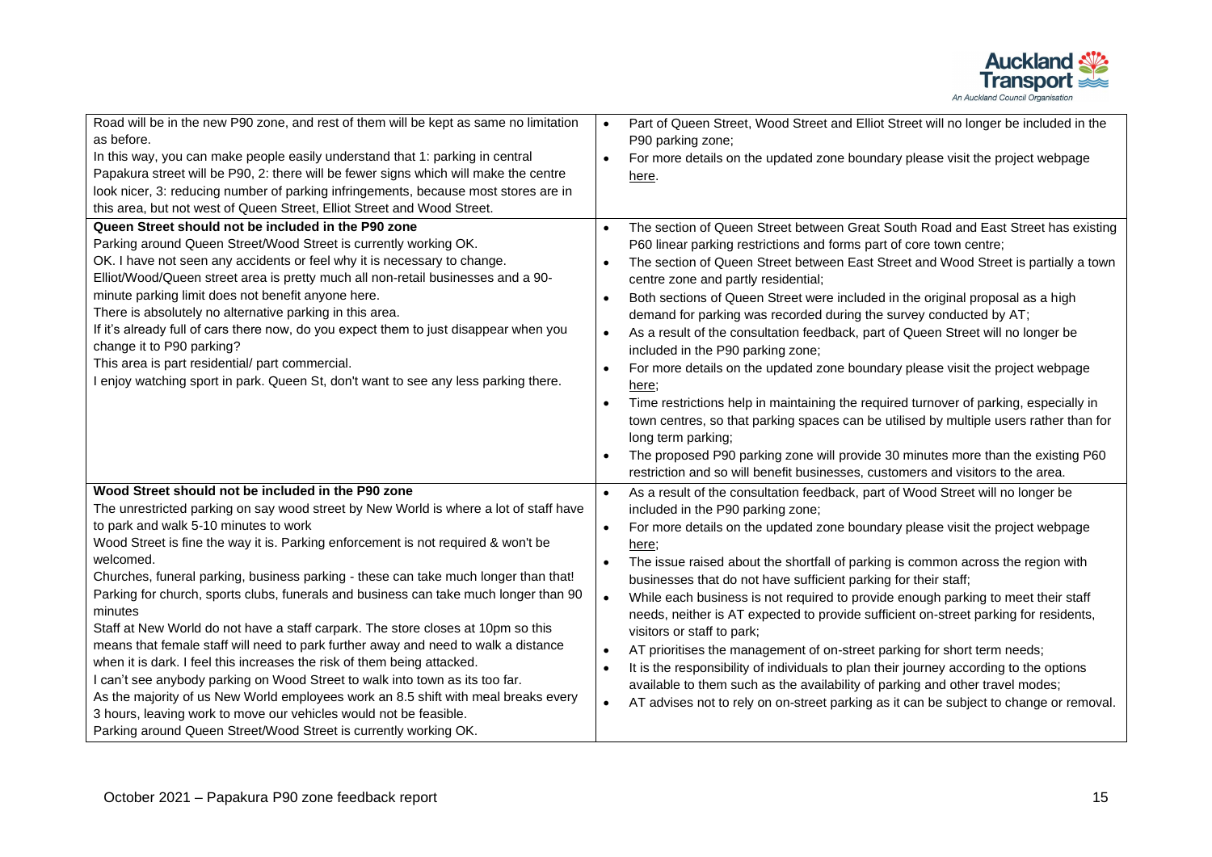

| Road will be in the new P90 zone, and rest of them will be kept as same no limitation<br>as before.<br>In this way, you can make people easily understand that 1: parking in central<br>Papakura street will be P90, 2: there will be fewer signs which will make the centre<br>look nicer, 3: reducing number of parking infringements, because most stores are in<br>this area, but not west of Queen Street, Elliot Street and Wood Street.<br>Queen Street should not be included in the P90 zone<br>Parking around Queen Street/Wood Street is currently working OK.<br>OK. I have not seen any accidents or feel why it is necessary to change.<br>Elliot/Wood/Queen street area is pretty much all non-retail businesses and a 90-<br>minute parking limit does not benefit anyone here.<br>There is absolutely no alternative parking in this area.<br>If it's already full of cars there now, do you expect them to just disappear when you<br>change it to P90 parking?<br>This area is part residential/ part commercial.<br>I enjoy watching sport in park. Queen St, don't want to see any less parking there. | Part of Queen Street, Wood Street and Elliot Street will no longer be included in the<br>$\bullet$<br>P90 parking zone;<br>For more details on the updated zone boundary please visit the project webpage<br>$\bullet$<br>here.<br>The section of Queen Street between Great South Road and East Street has existing<br>$\bullet$<br>P60 linear parking restrictions and forms part of core town centre;<br>The section of Queen Street between East Street and Wood Street is partially a town<br>$\bullet$<br>centre zone and partly residential;<br>Both sections of Queen Street were included in the original proposal as a high<br>$\bullet$<br>demand for parking was recorded during the survey conducted by AT;<br>As a result of the consultation feedback, part of Queen Street will no longer be<br>$\bullet$<br>included in the P90 parking zone;<br>For more details on the updated zone boundary please visit the project webpage<br>$\bullet$<br>here;<br>Time restrictions help in maintaining the required turnover of parking, especially in<br>$\bullet$<br>town centres, so that parking spaces can be utilised by multiple users rather than for<br>long term parking; |
|-----------------------------------------------------------------------------------------------------------------------------------------------------------------------------------------------------------------------------------------------------------------------------------------------------------------------------------------------------------------------------------------------------------------------------------------------------------------------------------------------------------------------------------------------------------------------------------------------------------------------------------------------------------------------------------------------------------------------------------------------------------------------------------------------------------------------------------------------------------------------------------------------------------------------------------------------------------------------------------------------------------------------------------------------------------------------------------------------------------------------------|----------------------------------------------------------------------------------------------------------------------------------------------------------------------------------------------------------------------------------------------------------------------------------------------------------------------------------------------------------------------------------------------------------------------------------------------------------------------------------------------------------------------------------------------------------------------------------------------------------------------------------------------------------------------------------------------------------------------------------------------------------------------------------------------------------------------------------------------------------------------------------------------------------------------------------------------------------------------------------------------------------------------------------------------------------------------------------------------------------------------------------------------------------------------------------------------|
|                                                                                                                                                                                                                                                                                                                                                                                                                                                                                                                                                                                                                                                                                                                                                                                                                                                                                                                                                                                                                                                                                                                             | The proposed P90 parking zone will provide 30 minutes more than the existing P60<br>restriction and so will benefit businesses, customers and visitors to the area.                                                                                                                                                                                                                                                                                                                                                                                                                                                                                                                                                                                                                                                                                                                                                                                                                                                                                                                                                                                                                          |
| Wood Street should not be included in the P90 zone<br>The unrestricted parking on say wood street by New World is where a lot of staff have<br>to park and walk 5-10 minutes to work<br>Wood Street is fine the way it is. Parking enforcement is not required & won't be<br>welcomed.<br>Churches, funeral parking, business parking - these can take much longer than that!<br>Parking for church, sports clubs, funerals and business can take much longer than 90<br>minutes<br>Staff at New World do not have a staff carpark. The store closes at 10pm so this<br>means that female staff will need to park further away and need to walk a distance<br>when it is dark. I feel this increases the risk of them being attacked.<br>I can't see anybody parking on Wood Street to walk into town as its too far.<br>As the majority of us New World employees work an 8.5 shift with meal breaks every<br>3 hours, leaving work to move our vehicles would not be feasible.<br>Parking around Queen Street/Wood Street is currently working OK.                                                                        | As a result of the consultation feedback, part of Wood Street will no longer be<br>$\bullet$<br>included in the P90 parking zone;<br>For more details on the updated zone boundary please visit the project webpage<br>$\bullet$<br>here;<br>The issue raised about the shortfall of parking is common across the region with<br>$\bullet$<br>businesses that do not have sufficient parking for their staff;<br>While each business is not required to provide enough parking to meet their staff<br>$\bullet$<br>needs, neither is AT expected to provide sufficient on-street parking for residents,<br>visitors or staff to park;<br>AT prioritises the management of on-street parking for short term needs;<br>$\bullet$<br>It is the responsibility of individuals to plan their journey according to the options<br>$\bullet$<br>available to them such as the availability of parking and other travel modes;<br>AT advises not to rely on on-street parking as it can be subject to change or removal.<br>$\bullet$                                                                                                                                                                |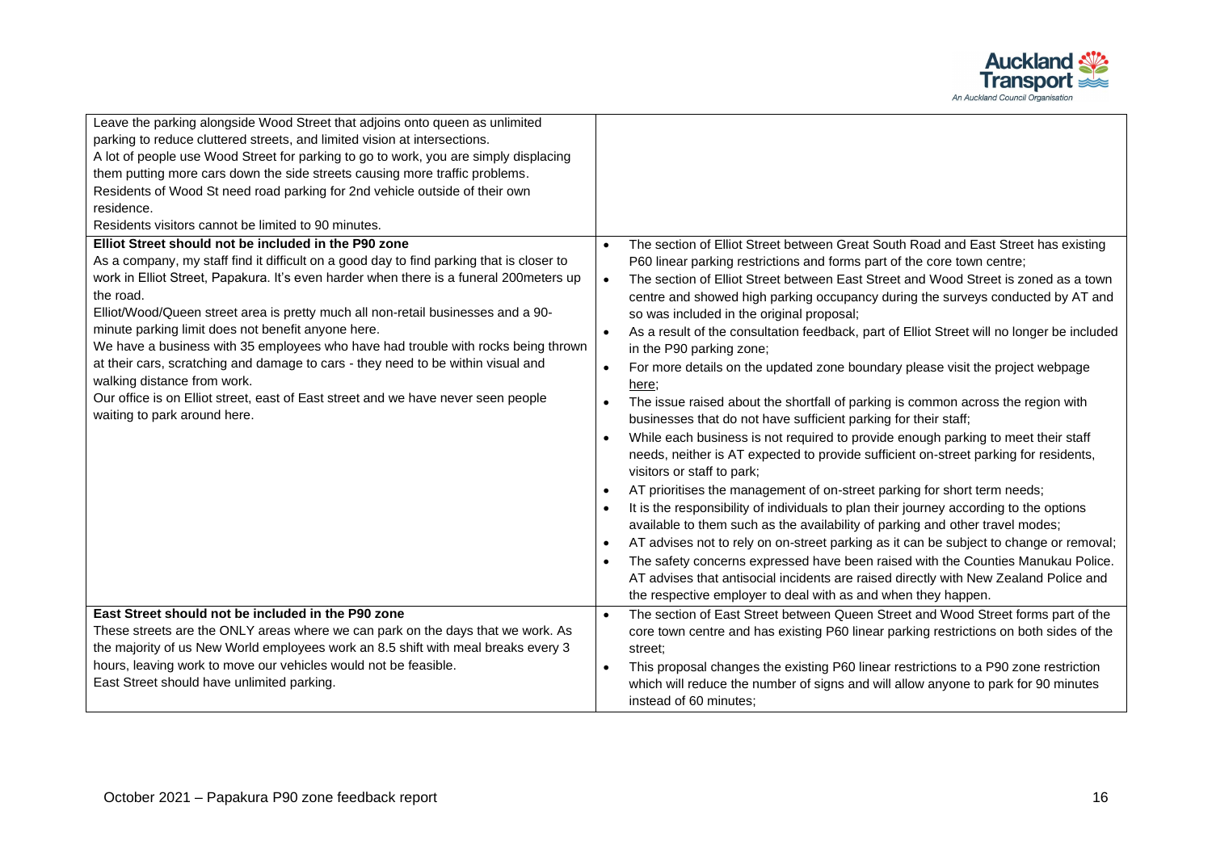

| Leave the parking alongside Wood Street that adjoins onto queen as unlimited<br>parking to reduce cluttered streets, and limited vision at intersections.<br>A lot of people use Wood Street for parking to go to work, you are simply displacing<br>them putting more cars down the side streets causing more traffic problems.<br>Residents of Wood St need road parking for 2nd vehicle outside of their own<br>residence.<br>Residents visitors cannot be limited to 90 minutes.                                                                                                                                                                                                                                           |                                                                                                                                                                                                                                                                                                                                                                                                                                                                                                                                                                                                                                                                                                                                                                                                                                                                                                                                                                                                                                                                                                                                                                                                                                                                                                                                                                                                                                                                                                                                                                                                                                                         |
|--------------------------------------------------------------------------------------------------------------------------------------------------------------------------------------------------------------------------------------------------------------------------------------------------------------------------------------------------------------------------------------------------------------------------------------------------------------------------------------------------------------------------------------------------------------------------------------------------------------------------------------------------------------------------------------------------------------------------------|---------------------------------------------------------------------------------------------------------------------------------------------------------------------------------------------------------------------------------------------------------------------------------------------------------------------------------------------------------------------------------------------------------------------------------------------------------------------------------------------------------------------------------------------------------------------------------------------------------------------------------------------------------------------------------------------------------------------------------------------------------------------------------------------------------------------------------------------------------------------------------------------------------------------------------------------------------------------------------------------------------------------------------------------------------------------------------------------------------------------------------------------------------------------------------------------------------------------------------------------------------------------------------------------------------------------------------------------------------------------------------------------------------------------------------------------------------------------------------------------------------------------------------------------------------------------------------------------------------------------------------------------------------|
| Elliot Street should not be included in the P90 zone<br>As a company, my staff find it difficult on a good day to find parking that is closer to<br>work in Elliot Street, Papakura. It's even harder when there is a funeral 200meters up<br>the road.<br>Elliot/Wood/Queen street area is pretty much all non-retail businesses and a 90-<br>minute parking limit does not benefit anyone here.<br>We have a business with 35 employees who have had trouble with rocks being thrown<br>at their cars, scratching and damage to cars - they need to be within visual and<br>walking distance from work.<br>Our office is on Elliot street, east of East street and we have never seen people<br>waiting to park around here. | The section of Elliot Street between Great South Road and East Street has existing<br>P60 linear parking restrictions and forms part of the core town centre;<br>The section of Elliot Street between East Street and Wood Street is zoned as a town<br>$\bullet$<br>centre and showed high parking occupancy during the surveys conducted by AT and<br>so was included in the original proposal;<br>As a result of the consultation feedback, part of Elliot Street will no longer be included<br>in the P90 parking zone;<br>For more details on the updated zone boundary please visit the project webpage<br>here:<br>The issue raised about the shortfall of parking is common across the region with<br>$\bullet$<br>businesses that do not have sufficient parking for their staff;<br>While each business is not required to provide enough parking to meet their staff<br>needs, neither is AT expected to provide sufficient on-street parking for residents,<br>visitors or staff to park;<br>AT prioritises the management of on-street parking for short term needs;<br>$\bullet$<br>It is the responsibility of individuals to plan their journey according to the options<br>$\bullet$<br>available to them such as the availability of parking and other travel modes;<br>AT advises not to rely on on-street parking as it can be subject to change or removal;<br>$\bullet$<br>The safety concerns expressed have been raised with the Counties Manukau Police.<br>$\bullet$<br>AT advises that antisocial incidents are raised directly with New Zealand Police and<br>the respective employer to deal with as and when they happen. |
| East Street should not be included in the P90 zone<br>These streets are the ONLY areas where we can park on the days that we work. As<br>the majority of us New World employees work an 8.5 shift with meal breaks every 3<br>hours, leaving work to move our vehicles would not be feasible.<br>East Street should have unlimited parking.                                                                                                                                                                                                                                                                                                                                                                                    | The section of East Street between Queen Street and Wood Street forms part of the<br>core town centre and has existing P60 linear parking restrictions on both sides of the<br>street:<br>This proposal changes the existing P60 linear restrictions to a P90 zone restriction<br>which will reduce the number of signs and will allow anyone to park for 90 minutes<br>instead of 60 minutes:                                                                                                                                                                                                                                                                                                                                                                                                                                                                                                                                                                                                                                                                                                                                                                                                                                                                                                                                                                                                                                                                                                                                                                                                                                                          |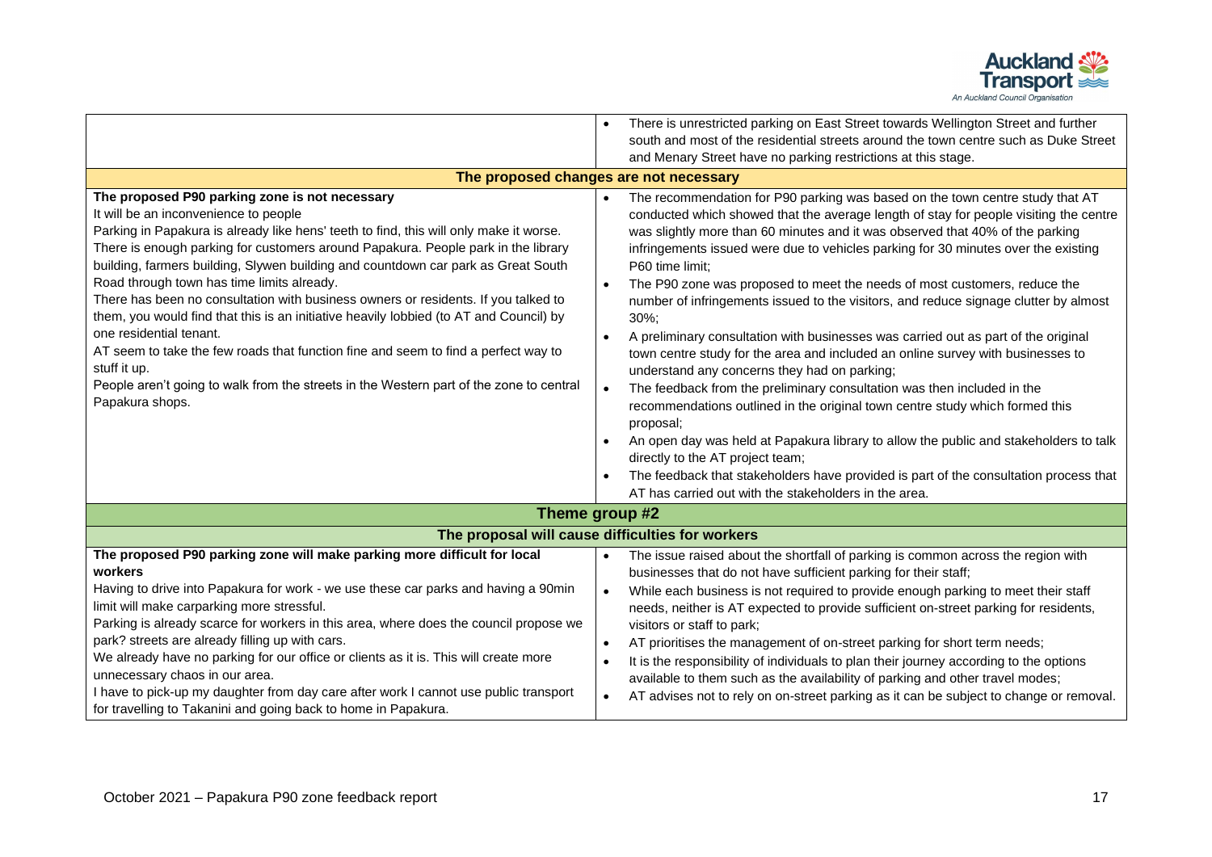

|                                                                                                                                                                                                                                                                                                                                                                                                                                                                                                                                                                                                                                                                                                                                                                                                                                          | There is unrestricted parking on East Street towards Wellington Street and further                                                                                                                                                                                                                                                                                                                                                                                                                                                                                                                                                                                                                                                                                                                                                                                                                                                                                                                                                                                                                                                                                                                 |
|------------------------------------------------------------------------------------------------------------------------------------------------------------------------------------------------------------------------------------------------------------------------------------------------------------------------------------------------------------------------------------------------------------------------------------------------------------------------------------------------------------------------------------------------------------------------------------------------------------------------------------------------------------------------------------------------------------------------------------------------------------------------------------------------------------------------------------------|----------------------------------------------------------------------------------------------------------------------------------------------------------------------------------------------------------------------------------------------------------------------------------------------------------------------------------------------------------------------------------------------------------------------------------------------------------------------------------------------------------------------------------------------------------------------------------------------------------------------------------------------------------------------------------------------------------------------------------------------------------------------------------------------------------------------------------------------------------------------------------------------------------------------------------------------------------------------------------------------------------------------------------------------------------------------------------------------------------------------------------------------------------------------------------------------------|
|                                                                                                                                                                                                                                                                                                                                                                                                                                                                                                                                                                                                                                                                                                                                                                                                                                          | south and most of the residential streets around the town centre such as Duke Street                                                                                                                                                                                                                                                                                                                                                                                                                                                                                                                                                                                                                                                                                                                                                                                                                                                                                                                                                                                                                                                                                                               |
|                                                                                                                                                                                                                                                                                                                                                                                                                                                                                                                                                                                                                                                                                                                                                                                                                                          | and Menary Street have no parking restrictions at this stage.                                                                                                                                                                                                                                                                                                                                                                                                                                                                                                                                                                                                                                                                                                                                                                                                                                                                                                                                                                                                                                                                                                                                      |
|                                                                                                                                                                                                                                                                                                                                                                                                                                                                                                                                                                                                                                                                                                                                                                                                                                          | The proposed changes are not necessary                                                                                                                                                                                                                                                                                                                                                                                                                                                                                                                                                                                                                                                                                                                                                                                                                                                                                                                                                                                                                                                                                                                                                             |
| The proposed P90 parking zone is not necessary<br>It will be an inconvenience to people<br>Parking in Papakura is already like hens' teeth to find, this will only make it worse.<br>There is enough parking for customers around Papakura. People park in the library<br>building, farmers building, Slywen building and countdown car park as Great South<br>Road through town has time limits already.<br>There has been no consultation with business owners or residents. If you talked to<br>them, you would find that this is an initiative heavily lobbied (to AT and Council) by<br>one residential tenant.<br>AT seem to take the few roads that function fine and seem to find a perfect way to<br>stuff it up.<br>People aren't going to walk from the streets in the Western part of the zone to central<br>Papakura shops. | The recommendation for P90 parking was based on the town centre study that AT<br>$\bullet$<br>conducted which showed that the average length of stay for people visiting the centre<br>was slightly more than 60 minutes and it was observed that 40% of the parking<br>infringements issued were due to vehicles parking for 30 minutes over the existing<br>P60 time limit:<br>The P90 zone was proposed to meet the needs of most customers, reduce the<br>number of infringements issued to the visitors, and reduce signage clutter by almost<br>$30\%$ ;<br>A preliminary consultation with businesses was carried out as part of the original<br>$\bullet$<br>town centre study for the area and included an online survey with businesses to<br>understand any concerns they had on parking;<br>The feedback from the preliminary consultation was then included in the<br>recommendations outlined in the original town centre study which formed this<br>proposal;<br>An open day was held at Papakura library to allow the public and stakeholders to talk<br>directly to the AT project team;<br>The feedback that stakeholders have provided is part of the consultation process that |
|                                                                                                                                                                                                                                                                                                                                                                                                                                                                                                                                                                                                                                                                                                                                                                                                                                          | AT has carried out with the stakeholders in the area.                                                                                                                                                                                                                                                                                                                                                                                                                                                                                                                                                                                                                                                                                                                                                                                                                                                                                                                                                                                                                                                                                                                                              |
|                                                                                                                                                                                                                                                                                                                                                                                                                                                                                                                                                                                                                                                                                                                                                                                                                                          | Theme group #2                                                                                                                                                                                                                                                                                                                                                                                                                                                                                                                                                                                                                                                                                                                                                                                                                                                                                                                                                                                                                                                                                                                                                                                     |
| The proposal will cause difficulties for workers                                                                                                                                                                                                                                                                                                                                                                                                                                                                                                                                                                                                                                                                                                                                                                                         |                                                                                                                                                                                                                                                                                                                                                                                                                                                                                                                                                                                                                                                                                                                                                                                                                                                                                                                                                                                                                                                                                                                                                                                                    |
| The proposed P90 parking zone will make parking more difficult for local<br>workers<br>Having to drive into Papakura for work - we use these car parks and having a 90min<br>limit will make carparking more stressful.<br>Parking is already scarce for workers in this area, where does the council propose we<br>park? streets are already filling up with cars.<br>We already have no parking for our office or clients as it is. This will create more<br>unnecessary chaos in our area.<br>I have to pick-up my daughter from day care after work I cannot use public transport<br>for travelling to Takanini and going back to home in Papakura.                                                                                                                                                                                  | The issue raised about the shortfall of parking is common across the region with<br>$\bullet$<br>businesses that do not have sufficient parking for their staff;<br>While each business is not required to provide enough parking to meet their staff<br>needs, neither is AT expected to provide sufficient on-street parking for residents,<br>visitors or staff to park;<br>AT prioritises the management of on-street parking for short term needs;<br>It is the responsibility of individuals to plan their journey according to the options<br>$\bullet$<br>available to them such as the availability of parking and other travel modes;<br>AT advises not to rely on on-street parking as it can be subject to change or removal.<br>$\bullet$                                                                                                                                                                                                                                                                                                                                                                                                                                             |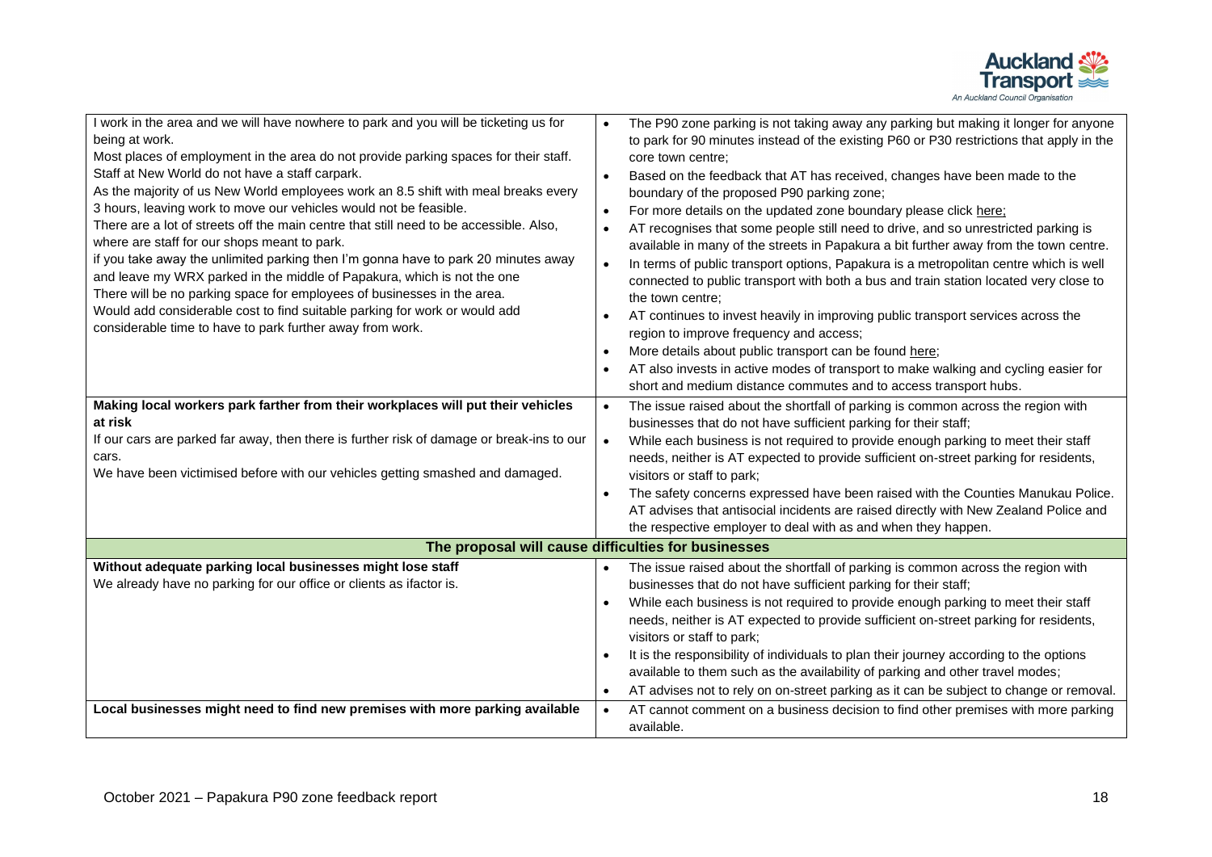

| I work in the area and we will have nowhere to park and you will be ticketing us for<br>being at work.<br>Most places of employment in the area do not provide parking spaces for their staff.<br>Staff at New World do not have a staff carpark.<br>As the majority of us New World employees work an 8.5 shift with meal breaks every<br>3 hours, leaving work to move our vehicles would not be feasible.<br>There are a lot of streets off the main centre that still need to be accessible. Also,<br>where are staff for our shops meant to park.<br>if you take away the unlimited parking then I'm gonna have to park 20 minutes away<br>and leave my WRX parked in the middle of Papakura, which is not the one<br>There will be no parking space for employees of businesses in the area.<br>Would add considerable cost to find suitable parking for work or would add<br>considerable time to have to park further away from work.<br>Making local workers park farther from their workplaces will put their vehicles<br>at risk<br>If our cars are parked far away, then there is further risk of damage or break-ins to our<br>cars.<br>We have been victimised before with our vehicles getting smashed and damaged. | The P90 zone parking is not taking away any parking but making it longer for anyone<br>to park for 90 minutes instead of the existing P60 or P30 restrictions that apply in the<br>core town centre:<br>Based on the feedback that AT has received, changes have been made to the<br>$\bullet$<br>boundary of the proposed P90 parking zone;<br>For more details on the updated zone boundary please click here:<br>AT recognises that some people still need to drive, and so unrestricted parking is<br>$\bullet$<br>available in many of the streets in Papakura a bit further away from the town centre.<br>In terms of public transport options, Papakura is a metropolitan centre which is well<br>connected to public transport with both a bus and train station located very close to<br>the town centre;<br>AT continues to invest heavily in improving public transport services across the<br>$\bullet$<br>region to improve frequency and access;<br>More details about public transport can be found here;<br>AT also invests in active modes of transport to make walking and cycling easier for<br>$\bullet$<br>short and medium distance commutes and to access transport hubs.<br>The issue raised about the shortfall of parking is common across the region with<br>businesses that do not have sufficient parking for their staff;<br>While each business is not required to provide enough parking to meet their staff<br>$\bullet$<br>needs, neither is AT expected to provide sufficient on-street parking for residents,<br>visitors or staff to park; |
|------------------------------------------------------------------------------------------------------------------------------------------------------------------------------------------------------------------------------------------------------------------------------------------------------------------------------------------------------------------------------------------------------------------------------------------------------------------------------------------------------------------------------------------------------------------------------------------------------------------------------------------------------------------------------------------------------------------------------------------------------------------------------------------------------------------------------------------------------------------------------------------------------------------------------------------------------------------------------------------------------------------------------------------------------------------------------------------------------------------------------------------------------------------------------------------------------------------------------------|---------------------------------------------------------------------------------------------------------------------------------------------------------------------------------------------------------------------------------------------------------------------------------------------------------------------------------------------------------------------------------------------------------------------------------------------------------------------------------------------------------------------------------------------------------------------------------------------------------------------------------------------------------------------------------------------------------------------------------------------------------------------------------------------------------------------------------------------------------------------------------------------------------------------------------------------------------------------------------------------------------------------------------------------------------------------------------------------------------------------------------------------------------------------------------------------------------------------------------------------------------------------------------------------------------------------------------------------------------------------------------------------------------------------------------------------------------------------------------------------------------------------------------------------------------------------------------|
|                                                                                                                                                                                                                                                                                                                                                                                                                                                                                                                                                                                                                                                                                                                                                                                                                                                                                                                                                                                                                                                                                                                                                                                                                                    | The safety concerns expressed have been raised with the Counties Manukau Police.<br>AT advises that antisocial incidents are raised directly with New Zealand Police and<br>the respective employer to deal with as and when they happen.                                                                                                                                                                                                                                                                                                                                                                                                                                                                                                                                                                                                                                                                                                                                                                                                                                                                                                                                                                                                                                                                                                                                                                                                                                                                                                                                       |
|                                                                                                                                                                                                                                                                                                                                                                                                                                                                                                                                                                                                                                                                                                                                                                                                                                                                                                                                                                                                                                                                                                                                                                                                                                    | The proposal will cause difficulties for businesses                                                                                                                                                                                                                                                                                                                                                                                                                                                                                                                                                                                                                                                                                                                                                                                                                                                                                                                                                                                                                                                                                                                                                                                                                                                                                                                                                                                                                                                                                                                             |
| Without adequate parking local businesses might lose staff<br>We already have no parking for our office or clients as ifactor is.                                                                                                                                                                                                                                                                                                                                                                                                                                                                                                                                                                                                                                                                                                                                                                                                                                                                                                                                                                                                                                                                                                  | The issue raised about the shortfall of parking is common across the region with<br>businesses that do not have sufficient parking for their staff;<br>While each business is not required to provide enough parking to meet their staff<br>needs, neither is AT expected to provide sufficient on-street parking for residents,<br>visitors or staff to park;<br>It is the responsibility of individuals to plan their journey according to the options<br>available to them such as the availability of parking and other travel modes;<br>AT advises not to rely on on-street parking as it can be subject to change or removal.<br>$\bullet$                                                                                                                                                                                                                                                                                                                                                                                                                                                                                                                                                                                                                                                                                                                                                                                                                                                                                                                                |
| Local businesses might need to find new premises with more parking available                                                                                                                                                                                                                                                                                                                                                                                                                                                                                                                                                                                                                                                                                                                                                                                                                                                                                                                                                                                                                                                                                                                                                       | AT cannot comment on a business decision to find other premises with more parking<br>available.                                                                                                                                                                                                                                                                                                                                                                                                                                                                                                                                                                                                                                                                                                                                                                                                                                                                                                                                                                                                                                                                                                                                                                                                                                                                                                                                                                                                                                                                                 |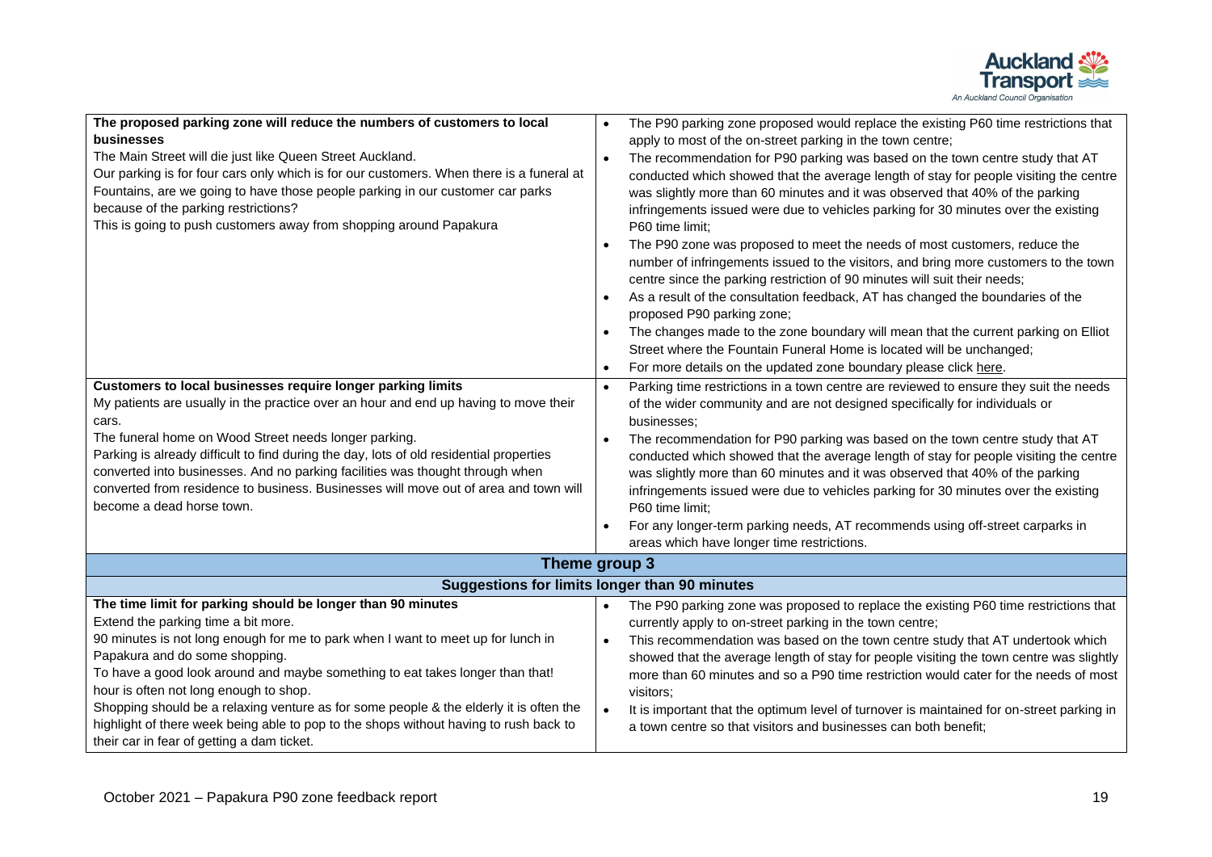

| The proposed parking zone will reduce the numbers of customers to local                  | The P90 parking zone proposed would replace the existing P60 time restrictions that                    |
|------------------------------------------------------------------------------------------|--------------------------------------------------------------------------------------------------------|
| businesses                                                                               | apply to most of the on-street parking in the town centre;                                             |
| The Main Street will die just like Queen Street Auckland.                                | The recommendation for P90 parking was based on the town centre study that AT                          |
| Our parking is for four cars only which is for our customers. When there is a funeral at | conducted which showed that the average length of stay for people visiting the centre                  |
| Fountains, are we going to have those people parking in our customer car parks           | was slightly more than 60 minutes and it was observed that 40% of the parking                          |
| because of the parking restrictions?                                                     | infringements issued were due to vehicles parking for 30 minutes over the existing                     |
| This is going to push customers away from shopping around Papakura                       | P60 time limit:                                                                                        |
|                                                                                          | The P90 zone was proposed to meet the needs of most customers, reduce the                              |
|                                                                                          | number of infringements issued to the visitors, and bring more customers to the town                   |
|                                                                                          | centre since the parking restriction of 90 minutes will suit their needs;                              |
|                                                                                          | As a result of the consultation feedback, AT has changed the boundaries of the                         |
|                                                                                          | proposed P90 parking zone;                                                                             |
|                                                                                          | The changes made to the zone boundary will mean that the current parking on Elliot                     |
|                                                                                          | Street where the Fountain Funeral Home is located will be unchanged;                                   |
|                                                                                          | For more details on the updated zone boundary please click here.<br>$\bullet$                          |
| Customers to local businesses require longer parking limits                              | Parking time restrictions in a town centre are reviewed to ensure they suit the needs<br>$\bullet$     |
| My patients are usually in the practice over an hour and end up having to move their     | of the wider community and are not designed specifically for individuals or                            |
| cars.                                                                                    | businesses:                                                                                            |
| The funeral home on Wood Street needs longer parking.                                    | The recommendation for P90 parking was based on the town centre study that AT                          |
| Parking is already difficult to find during the day, lots of old residential properties  | conducted which showed that the average length of stay for people visiting the centre                  |
| converted into businesses. And no parking facilities was thought through when            | was slightly more than 60 minutes and it was observed that 40% of the parking                          |
| converted from residence to business. Businesses will move out of area and town will     | infringements issued were due to vehicles parking for 30 minutes over the existing                     |
| become a dead horse town.                                                                | P60 time limit:                                                                                        |
|                                                                                          | For any longer-term parking needs, AT recommends using off-street carparks in                          |
|                                                                                          | areas which have longer time restrictions.                                                             |
| Theme group 3                                                                            |                                                                                                        |
| <b>Suggestions for limits longer than 90 minutes</b>                                     |                                                                                                        |
| The time limit for parking should be longer than 90 minutes                              | The P90 parking zone was proposed to replace the existing P60 time restrictions that                   |
| Extend the parking time a bit more.                                                      | currently apply to on-street parking in the town centre;                                               |
| 90 minutes is not long enough for me to park when I want to meet up for lunch in         | This recommendation was based on the town centre study that AT undertook which<br>$\bullet$            |
| Papakura and do some shopping.                                                           | showed that the average length of stay for people visiting the town centre was slightly                |
| To have a good look around and maybe something to eat takes longer than that!            | more than 60 minutes and so a P90 time restriction would cater for the needs of most                   |
| hour is often not long enough to shop.                                                   | visitors;                                                                                              |
| Shopping should be a relaxing venture as for some people & the elderly it is often the   | It is important that the optimum level of turnover is maintained for on-street parking in<br>$\bullet$ |
| highlight of there week being able to pop to the shops without having to rush back to    | a town centre so that visitors and businesses can both benefit;                                        |
| their car in fear of getting a dam ticket.                                               |                                                                                                        |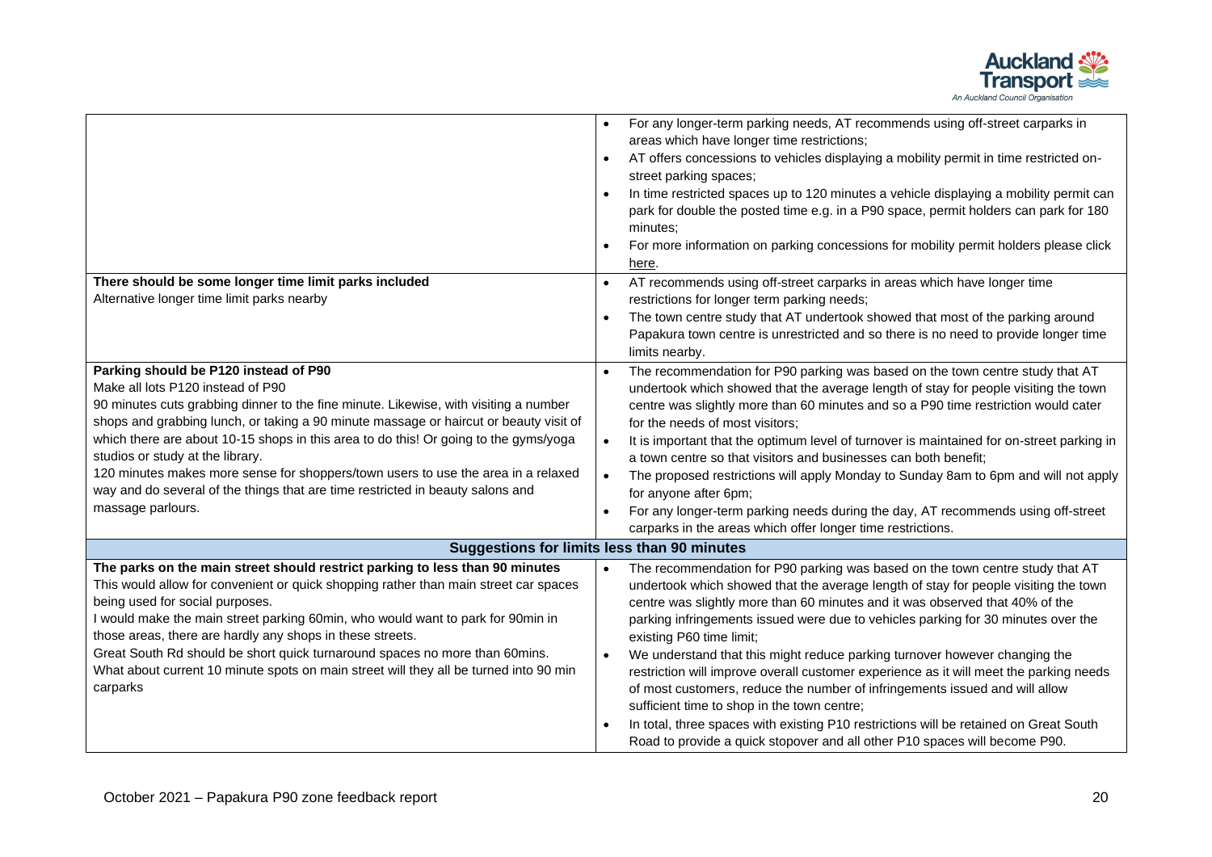

|                                                                                       | For any longer-term parking needs, AT recommends using off-street carparks in<br>areas which have longer time restrictions;  |
|---------------------------------------------------------------------------------------|------------------------------------------------------------------------------------------------------------------------------|
|                                                                                       |                                                                                                                              |
|                                                                                       | AT offers concessions to vehicles displaying a mobility permit in time restricted on-<br>$\bullet$<br>street parking spaces; |
|                                                                                       | $\bullet$                                                                                                                    |
|                                                                                       | In time restricted spaces up to 120 minutes a vehicle displaying a mobility permit can                                       |
|                                                                                       | park for double the posted time e.g. in a P90 space, permit holders can park for 180                                         |
|                                                                                       | minutes;                                                                                                                     |
|                                                                                       | For more information on parking concessions for mobility permit holders please click                                         |
|                                                                                       | here.                                                                                                                        |
| There should be some longer time limit parks included                                 | AT recommends using off-street carparks in areas which have longer time                                                      |
| Alternative longer time limit parks nearby                                            | restrictions for longer term parking needs;                                                                                  |
|                                                                                       | The town centre study that AT undertook showed that most of the parking around                                               |
|                                                                                       | Papakura town centre is unrestricted and so there is no need to provide longer time                                          |
|                                                                                       | limits nearby.                                                                                                               |
| Parking should be P120 instead of P90                                                 | The recommendation for P90 parking was based on the town centre study that AT                                                |
| Make all lots P120 instead of P90                                                     | undertook which showed that the average length of stay for people visiting the town                                          |
| 90 minutes cuts grabbing dinner to the fine minute. Likewise, with visiting a number  | centre was slightly more than 60 minutes and so a P90 time restriction would cater                                           |
| shops and grabbing lunch, or taking a 90 minute massage or haircut or beauty visit of | for the needs of most visitors;                                                                                              |
| which there are about 10-15 shops in this area to do this! Or going to the gyms/yoga  | It is important that the optimum level of turnover is maintained for on-street parking in<br>$\bullet$                       |
| studios or study at the library.                                                      | a town centre so that visitors and businesses can both benefit;                                                              |
| 120 minutes makes more sense for shoppers/town users to use the area in a relaxed     | The proposed restrictions will apply Monday to Sunday 8am to 6pm and will not apply<br>$\bullet$                             |
| way and do several of the things that are time restricted in beauty salons and        | for anyone after 6pm;                                                                                                        |
| massage parlours.                                                                     | For any longer-term parking needs during the day, AT recommends using off-street<br>$\bullet$                                |
|                                                                                       | carparks in the areas which offer longer time restrictions.                                                                  |
|                                                                                       | <b>Suggestions for limits less than 90 minutes</b>                                                                           |
| The parks on the main street should restrict parking to less than 90 minutes          | The recommendation for P90 parking was based on the town centre study that AT                                                |
| This would allow for convenient or quick shopping rather than main street car spaces  | undertook which showed that the average length of stay for people visiting the town                                          |
| being used for social purposes.                                                       | centre was slightly more than 60 minutes and it was observed that 40% of the                                                 |
| I would make the main street parking 60min, who would want to park for 90min in       | parking infringements issued were due to vehicles parking for 30 minutes over the                                            |
| those areas, there are hardly any shops in these streets.                             | existing P60 time limit;                                                                                                     |
| Great South Rd should be short quick turnaround spaces no more than 60mins.           | We understand that this might reduce parking turnover however changing the<br>$\bullet$                                      |
| What about current 10 minute spots on main street will they all be turned into 90 min | restriction will improve overall customer experience as it will meet the parking needs                                       |
| carparks                                                                              | of most customers, reduce the number of infringements issued and will allow                                                  |
|                                                                                       | sufficient time to shop in the town centre;                                                                                  |
|                                                                                       | In total, three spaces with existing P10 restrictions will be retained on Great South                                        |
|                                                                                       | Road to provide a quick stopover and all other P10 spaces will become P90.                                                   |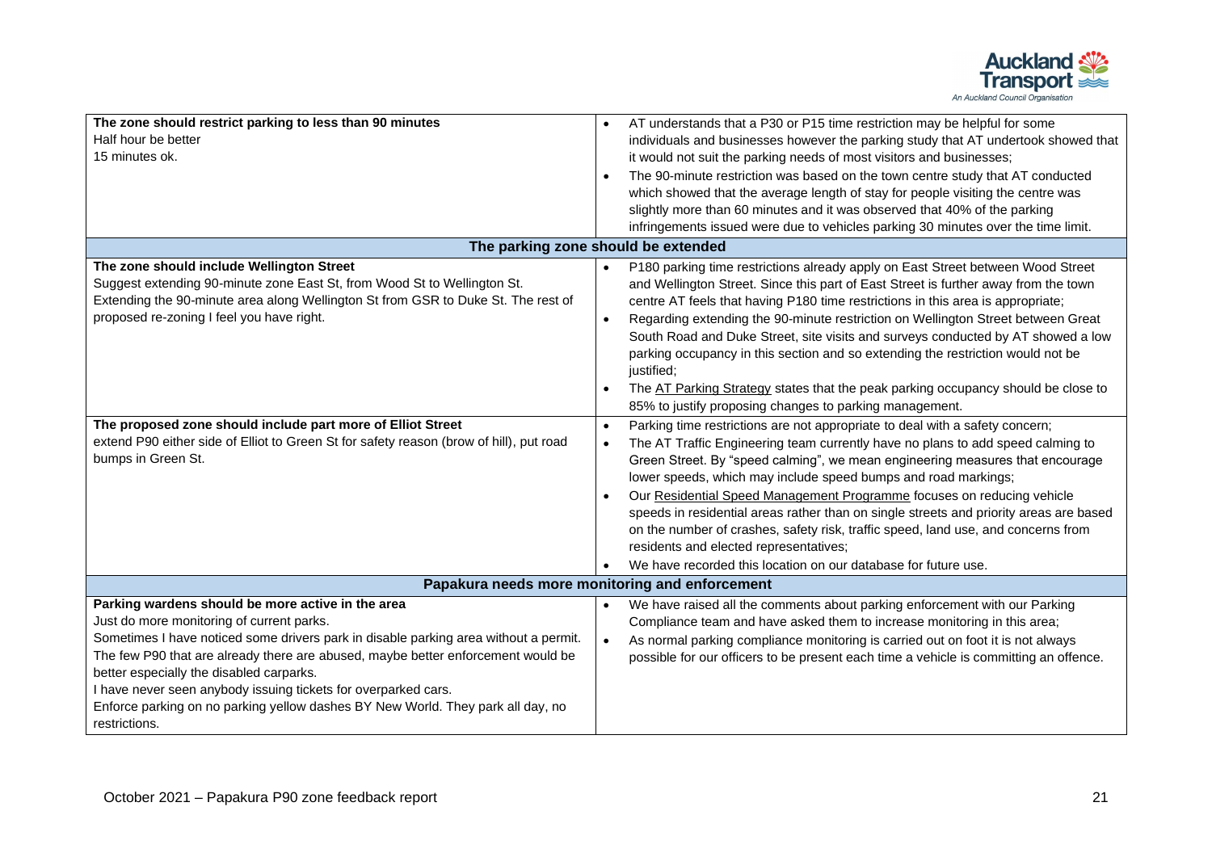

| The zone should restrict parking to less than 90 minutes                                | AT understands that a P30 or P15 time restriction may be helpful for some                    |
|-----------------------------------------------------------------------------------------|----------------------------------------------------------------------------------------------|
| Half hour be better                                                                     | individuals and businesses however the parking study that AT undertook showed that           |
| 15 minutes ok.                                                                          | it would not suit the parking needs of most visitors and businesses;                         |
|                                                                                         | The 90-minute restriction was based on the town centre study that AT conducted               |
|                                                                                         | which showed that the average length of stay for people visiting the centre was              |
|                                                                                         | slightly more than 60 minutes and it was observed that 40% of the parking                    |
|                                                                                         | infringements issued were due to vehicles parking 30 minutes over the time limit.            |
|                                                                                         | The parking zone should be extended                                                          |
| The zone should include Wellington Street                                               | P180 parking time restrictions already apply on East Street between Wood Street              |
| Suggest extending 90-minute zone East St, from Wood St to Wellington St.                | and Wellington Street. Since this part of East Street is further away from the town          |
| Extending the 90-minute area along Wellington St from GSR to Duke St. The rest of       | centre AT feels that having P180 time restrictions in this area is appropriate;              |
| proposed re-zoning I feel you have right.                                               | Regarding extending the 90-minute restriction on Wellington Street between Great             |
|                                                                                         | South Road and Duke Street, site visits and surveys conducted by AT showed a low             |
|                                                                                         | parking occupancy in this section and so extending the restriction would not be              |
|                                                                                         | justified;                                                                                   |
|                                                                                         | The AT Parking Strategy states that the peak parking occupancy should be close to            |
|                                                                                         | 85% to justify proposing changes to parking management.                                      |
| The proposed zone should include part more of Elliot Street                             | Parking time restrictions are not appropriate to deal with a safety concern;<br>$\bullet$    |
| extend P90 either side of Elliot to Green St for safety reason (brow of hill), put road | The AT Traffic Engineering team currently have no plans to add speed calming to              |
| bumps in Green St.                                                                      | Green Street. By "speed calming", we mean engineering measures that encourage                |
|                                                                                         | lower speeds, which may include speed bumps and road markings;                               |
|                                                                                         | Our Residential Speed Management Programme focuses on reducing vehicle                       |
|                                                                                         | speeds in residential areas rather than on single streets and priority areas are based       |
|                                                                                         | on the number of crashes, safety risk, traffic speed, land use, and concerns from            |
|                                                                                         | residents and elected representatives;                                                       |
|                                                                                         | We have recorded this location on our database for future use.                               |
| Papakura needs more monitoring and enforcement                                          |                                                                                              |
| Parking wardens should be more active in the area                                       | We have raised all the comments about parking enforcement with our Parking<br>$\bullet$      |
| Just do more monitoring of current parks.                                               | Compliance team and have asked them to increase monitoring in this area;                     |
| Sometimes I have noticed some drivers park in disable parking area without a permit.    | As normal parking compliance monitoring is carried out on foot it is not always<br>$\bullet$ |
| The few P90 that are already there are abused, maybe better enforcement would be        | possible for our officers to be present each time a vehicle is committing an offence.        |
| better especially the disabled carparks.                                                |                                                                                              |
| I have never seen anybody issuing tickets for overparked cars.                          |                                                                                              |
| Enforce parking on no parking yellow dashes BY New World. They park all day, no         |                                                                                              |
| restrictions.                                                                           |                                                                                              |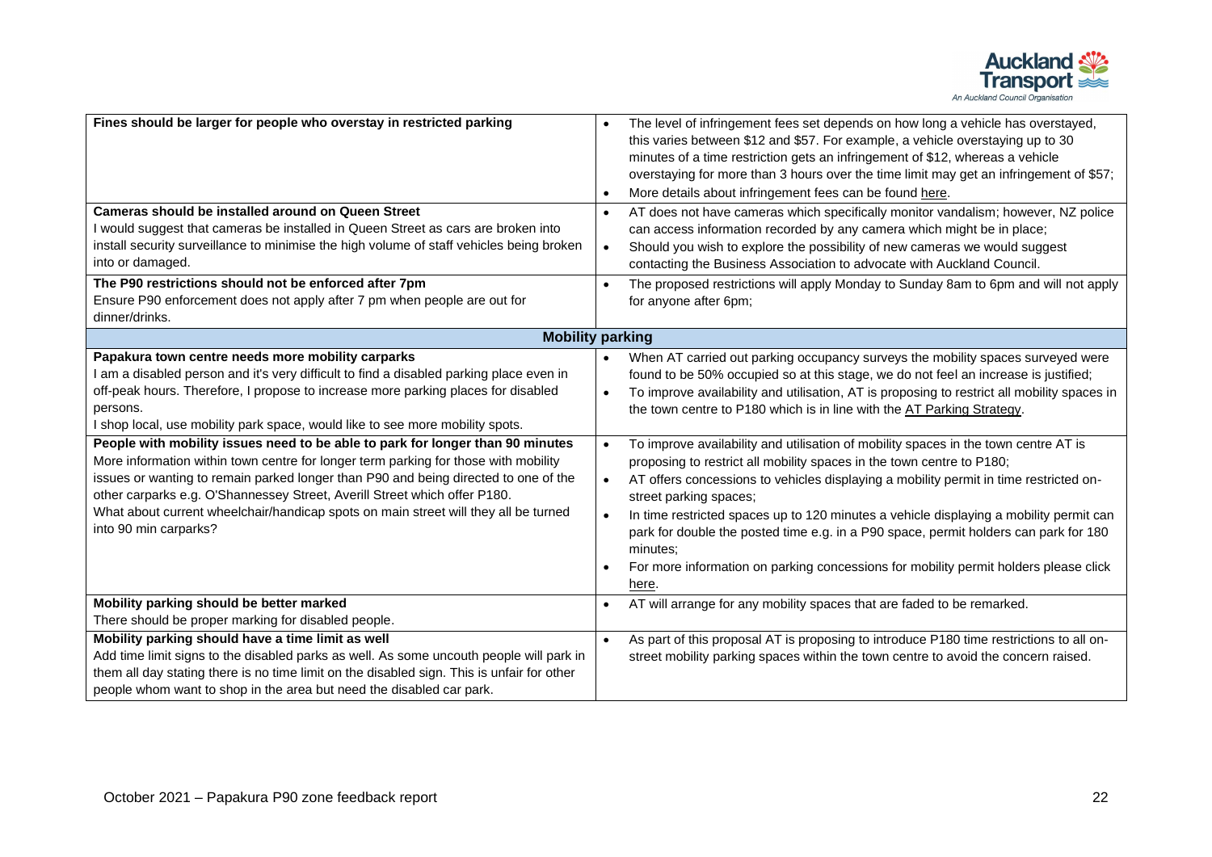

| Fines should be larger for people who overstay in restricted parking<br><b>Cameras should be installed around on Queen Street</b><br>would suggest that cameras be installed in Queen Street as cars are broken into<br>install security surveillance to minimise the high volume of staff vehicles being broken<br>into or damaged.<br>The P90 restrictions should not be enforced after 7pm<br>Ensure P90 enforcement does not apply after 7 pm when people are out for                                                                                                                                                                                                                                                                                                                   | The level of infringement fees set depends on how long a vehicle has overstayed,<br>this varies between \$12 and \$57. For example, a vehicle overstaying up to 30<br>minutes of a time restriction gets an infringement of \$12, whereas a vehicle<br>overstaying for more than 3 hours over the time limit may get an infringement of \$57;<br>More details about infringement fees can be found here.<br>$\bullet$<br>AT does not have cameras which specifically monitor vandalism; however, NZ police<br>$\bullet$<br>can access information recorded by any camera which might be in place;<br>Should you wish to explore the possibility of new cameras we would suggest<br>$\bullet$<br>contacting the Business Association to advocate with Auckland Council.<br>The proposed restrictions will apply Monday to Sunday 8am to 6pm and will not apply<br>$\bullet$<br>for anyone after 6pm;                                                         |
|---------------------------------------------------------------------------------------------------------------------------------------------------------------------------------------------------------------------------------------------------------------------------------------------------------------------------------------------------------------------------------------------------------------------------------------------------------------------------------------------------------------------------------------------------------------------------------------------------------------------------------------------------------------------------------------------------------------------------------------------------------------------------------------------|-------------------------------------------------------------------------------------------------------------------------------------------------------------------------------------------------------------------------------------------------------------------------------------------------------------------------------------------------------------------------------------------------------------------------------------------------------------------------------------------------------------------------------------------------------------------------------------------------------------------------------------------------------------------------------------------------------------------------------------------------------------------------------------------------------------------------------------------------------------------------------------------------------------------------------------------------------------|
| dinner/drinks.                                                                                                                                                                                                                                                                                                                                                                                                                                                                                                                                                                                                                                                                                                                                                                              |                                                                                                                                                                                                                                                                                                                                                                                                                                                                                                                                                                                                                                                                                                                                                                                                                                                                                                                                                             |
| <b>Mobility parking</b>                                                                                                                                                                                                                                                                                                                                                                                                                                                                                                                                                                                                                                                                                                                                                                     |                                                                                                                                                                                                                                                                                                                                                                                                                                                                                                                                                                                                                                                                                                                                                                                                                                                                                                                                                             |
| Papakura town centre needs more mobility carparks<br>I am a disabled person and it's very difficult to find a disabled parking place even in<br>off-peak hours. Therefore, I propose to increase more parking places for disabled<br>persons.<br>I shop local, use mobility park space, would like to see more mobility spots.<br>People with mobility issues need to be able to park for longer than 90 minutes<br>More information within town centre for longer term parking for those with mobility<br>issues or wanting to remain parked longer than P90 and being directed to one of the<br>other carparks e.g. O'Shannessey Street, Averill Street which offer P180.<br>What about current wheelchair/handicap spots on main street will they all be turned<br>into 90 min carparks? | When AT carried out parking occupancy surveys the mobility spaces surveyed were<br>found to be 50% occupied so at this stage, we do not feel an increase is justified;<br>To improve availability and utilisation, AT is proposing to restrict all mobility spaces in<br>$\bullet$<br>the town centre to P180 which is in line with the AT Parking Strategy.<br>To improve availability and utilisation of mobility spaces in the town centre AT is<br>proposing to restrict all mobility spaces in the town centre to P180;<br>AT offers concessions to vehicles displaying a mobility permit in time restricted on-<br>$\bullet$<br>street parking spaces;<br>In time restricted spaces up to 120 minutes a vehicle displaying a mobility permit can<br>park for double the posted time e.g. in a P90 space, permit holders can park for 180<br>minutes:<br>For more information on parking concessions for mobility permit holders please click<br>here. |
| Mobility parking should be better marked                                                                                                                                                                                                                                                                                                                                                                                                                                                                                                                                                                                                                                                                                                                                                    | AT will arrange for any mobility spaces that are faded to be remarked.<br>$\bullet$                                                                                                                                                                                                                                                                                                                                                                                                                                                                                                                                                                                                                                                                                                                                                                                                                                                                         |
| There should be proper marking for disabled people.                                                                                                                                                                                                                                                                                                                                                                                                                                                                                                                                                                                                                                                                                                                                         |                                                                                                                                                                                                                                                                                                                                                                                                                                                                                                                                                                                                                                                                                                                                                                                                                                                                                                                                                             |
| Mobility parking should have a time limit as well<br>Add time limit signs to the disabled parks as well. As some uncouth people will park in<br>them all day stating there is no time limit on the disabled sign. This is unfair for other<br>people whom want to shop in the area but need the disabled car park.                                                                                                                                                                                                                                                                                                                                                                                                                                                                          | As part of this proposal AT is proposing to introduce P180 time restrictions to all on-<br>$\bullet$<br>street mobility parking spaces within the town centre to avoid the concern raised.                                                                                                                                                                                                                                                                                                                                                                                                                                                                                                                                                                                                                                                                                                                                                                  |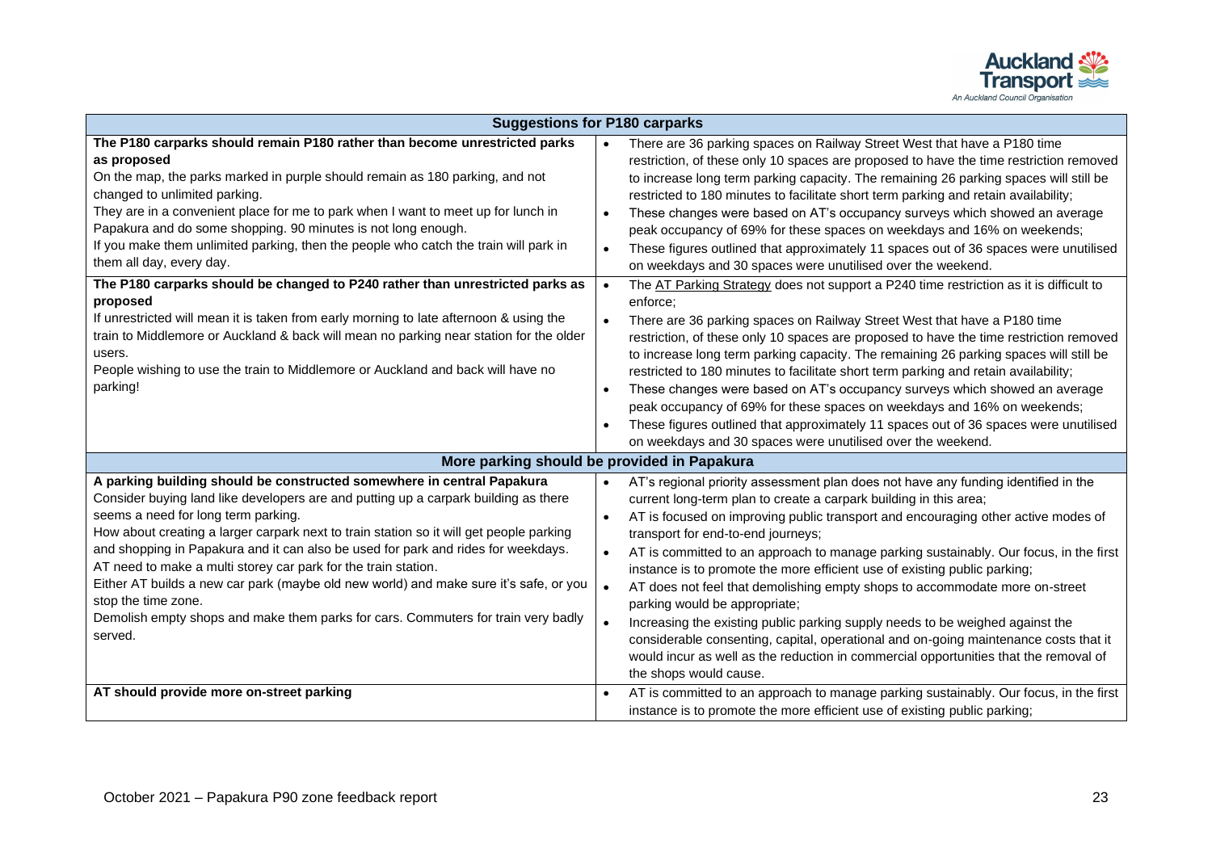

| <b>Suggestions for P180 carparks</b>                                                                                                                                                                                                                                                                                                                                                                                                                                                                                                                                                                                                                                                                                                                                                                                                                                           |                                                                                                                                                                                                                                                                                                                                                                                                                                                                                                                                                                                                                                                                                                                                                                                                                                                                                                                                                                                                                                                                                                                                                                                                                                                                                                                                                                                                                        |
|--------------------------------------------------------------------------------------------------------------------------------------------------------------------------------------------------------------------------------------------------------------------------------------------------------------------------------------------------------------------------------------------------------------------------------------------------------------------------------------------------------------------------------------------------------------------------------------------------------------------------------------------------------------------------------------------------------------------------------------------------------------------------------------------------------------------------------------------------------------------------------|------------------------------------------------------------------------------------------------------------------------------------------------------------------------------------------------------------------------------------------------------------------------------------------------------------------------------------------------------------------------------------------------------------------------------------------------------------------------------------------------------------------------------------------------------------------------------------------------------------------------------------------------------------------------------------------------------------------------------------------------------------------------------------------------------------------------------------------------------------------------------------------------------------------------------------------------------------------------------------------------------------------------------------------------------------------------------------------------------------------------------------------------------------------------------------------------------------------------------------------------------------------------------------------------------------------------------------------------------------------------------------------------------------------------|
| The P180 carparks should remain P180 rather than become unrestricted parks<br>as proposed<br>On the map, the parks marked in purple should remain as 180 parking, and not<br>changed to unlimited parking.<br>They are in a convenient place for me to park when I want to meet up for lunch in<br>Papakura and do some shopping. 90 minutes is not long enough.<br>If you make them unlimited parking, then the people who catch the train will park in<br>them all day, every day.<br>The P180 carparks should be changed to P240 rather than unrestricted parks as<br>proposed<br>If unrestricted will mean it is taken from early morning to late afternoon & using the<br>train to Middlemore or Auckland & back will mean no parking near station for the older<br>users.<br>People wishing to use the train to Middlemore or Auckland and back will have no<br>parking! | There are 36 parking spaces on Railway Street West that have a P180 time<br>restriction, of these only 10 spaces are proposed to have the time restriction removed<br>to increase long term parking capacity. The remaining 26 parking spaces will still be<br>restricted to 180 minutes to facilitate short term parking and retain availability;<br>These changes were based on AT's occupancy surveys which showed an average<br>peak occupancy of 69% for these spaces on weekdays and 16% on weekends;<br>These figures outlined that approximately 11 spaces out of 36 spaces were unutilised<br>$\bullet$<br>on weekdays and 30 spaces were unutilised over the weekend.<br>The AT Parking Strategy does not support a P240 time restriction as it is difficult to<br>$\bullet$<br>enforce:<br>There are 36 parking spaces on Railway Street West that have a P180 time<br>restriction, of these only 10 spaces are proposed to have the time restriction removed<br>to increase long term parking capacity. The remaining 26 parking spaces will still be<br>restricted to 180 minutes to facilitate short term parking and retain availability;<br>These changes were based on AT's occupancy surveys which showed an average<br>$\bullet$<br>peak occupancy of 69% for these spaces on weekdays and 16% on weekends;<br>These figures outlined that approximately 11 spaces out of 36 spaces were unutilised |
|                                                                                                                                                                                                                                                                                                                                                                                                                                                                                                                                                                                                                                                                                                                                                                                                                                                                                | on weekdays and 30 spaces were unutilised over the weekend.                                                                                                                                                                                                                                                                                                                                                                                                                                                                                                                                                                                                                                                                                                                                                                                                                                                                                                                                                                                                                                                                                                                                                                                                                                                                                                                                                            |
| More parking should be provided in Papakura                                                                                                                                                                                                                                                                                                                                                                                                                                                                                                                                                                                                                                                                                                                                                                                                                                    |                                                                                                                                                                                                                                                                                                                                                                                                                                                                                                                                                                                                                                                                                                                                                                                                                                                                                                                                                                                                                                                                                                                                                                                                                                                                                                                                                                                                                        |
| A parking building should be constructed somewhere in central Papakura<br>Consider buying land like developers are and putting up a carpark building as there<br>seems a need for long term parking.<br>How about creating a larger carpark next to train station so it will get people parking<br>and shopping in Papakura and it can also be used for park and rides for weekdays.<br>AT need to make a multi storey car park for the train station.<br>Either AT builds a new car park (maybe old new world) and make sure it's safe, or you<br>stop the time zone.<br>Demolish empty shops and make them parks for cars. Commuters for train very badly<br>served.                                                                                                                                                                                                         | AT's regional priority assessment plan does not have any funding identified in the<br>current long-term plan to create a carpark building in this area;<br>AT is focused on improving public transport and encouraging other active modes of<br>$\bullet$<br>transport for end-to-end journeys;<br>AT is committed to an approach to manage parking sustainably. Our focus, in the first<br>instance is to promote the more efficient use of existing public parking;<br>AT does not feel that demolishing empty shops to accommodate more on-street<br>$\bullet$<br>parking would be appropriate;<br>Increasing the existing public parking supply needs to be weighed against the<br>considerable consenting, capital, operational and on-going maintenance costs that it<br>would incur as well as the reduction in commercial opportunities that the removal of<br>the shops would cause.                                                                                                                                                                                                                                                                                                                                                                                                                                                                                                                          |
| AT should provide more on-street parking                                                                                                                                                                                                                                                                                                                                                                                                                                                                                                                                                                                                                                                                                                                                                                                                                                       | AT is committed to an approach to manage parking sustainably. Our focus, in the first<br>$\bullet$<br>instance is to promote the more efficient use of existing public parking;                                                                                                                                                                                                                                                                                                                                                                                                                                                                                                                                                                                                                                                                                                                                                                                                                                                                                                                                                                                                                                                                                                                                                                                                                                        |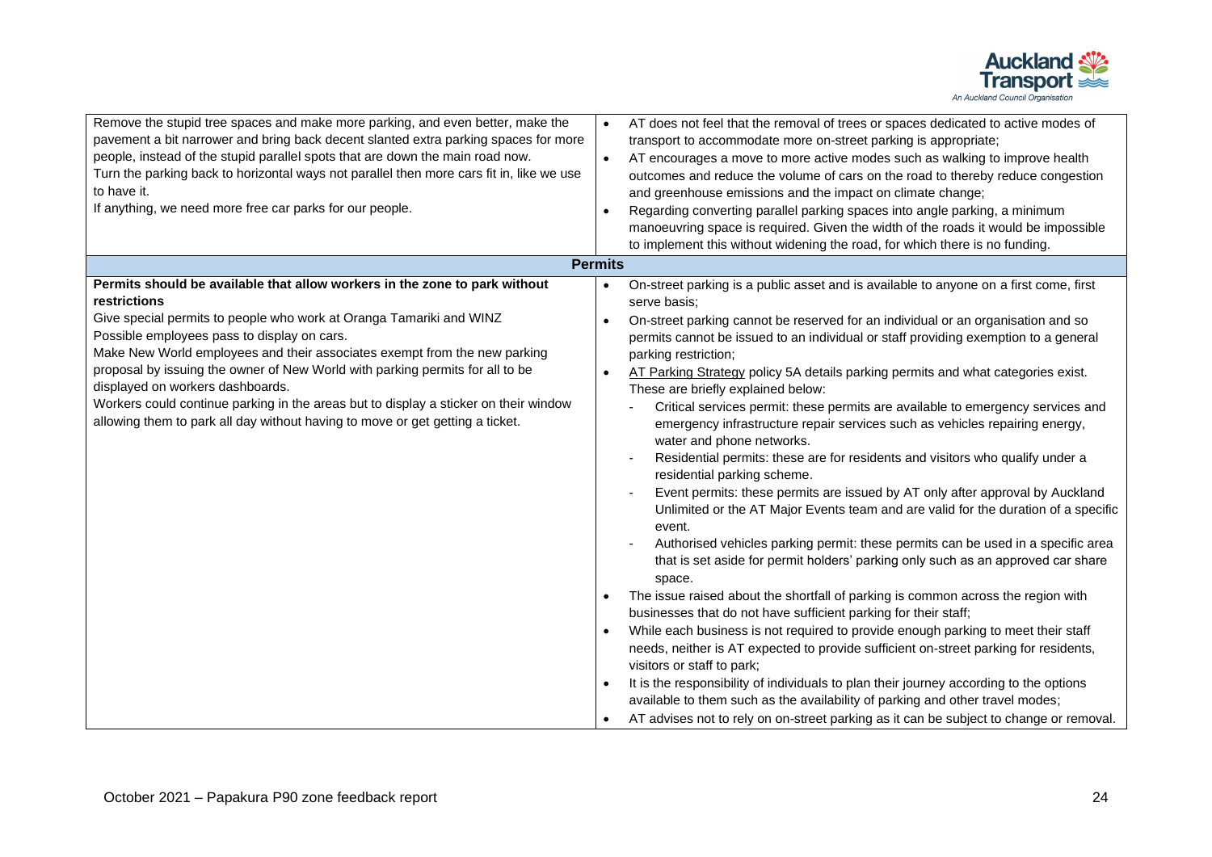

| Remove the stupid tree spaces and make more parking, and even better, make the<br>AT does not feel that the removal of trees or spaces dedicated to active modes of<br>$\bullet$<br>pavement a bit narrower and bring back decent slanted extra parking spaces for more<br>transport to accommodate more on-street parking is appropriate;<br>people, instead of the stupid parallel spots that are down the main road now.<br>AT encourages a move to more active modes such as walking to improve health<br>Turn the parking back to horizontal ways not parallel then more cars fit in, like we use<br>outcomes and reduce the volume of cars on the road to thereby reduce congestion<br>to have it.<br>and greenhouse emissions and the impact on climate change;<br>If anything, we need more free car parks for our people.<br>Regarding converting parallel parking spaces into angle parking, a minimum<br>$\bullet$<br>manoeuvring space is required. Given the width of the roads it would be impossible<br>to implement this without widening the road, for which there is no funding.<br><b>Permits</b><br>Permits should be available that allow workers in the zone to park without<br>On-street parking is a public asset and is available to anyone on a first come, first<br>$\bullet$<br>restrictions<br>serve basis:<br>Give special permits to people who work at Oranga Tamariki and WINZ<br>On-street parking cannot be reserved for an individual or an organisation and so<br>Possible employees pass to display on cars.<br>permits cannot be issued to an individual or staff providing exemption to a general<br>Make New World employees and their associates exempt from the new parking<br>parking restriction;<br>proposal by issuing the owner of New World with parking permits for all to be<br>AT Parking Strategy policy 5A details parking permits and what categories exist.<br>displayed on workers dashboards.<br>These are briefly explained below:<br>Workers could continue parking in the areas but to display a sticker on their window<br>Critical services permit: these permits are available to emergency services and<br>allowing them to park all day without having to move or get getting a ticket.<br>emergency infrastructure repair services such as vehicles repairing energy,<br>water and phone networks.<br>Residential permits: these are for residents and visitors who qualify under a<br>residential parking scheme.<br>Event permits: these permits are issued by AT only after approval by Auckland<br>Unlimited or the AT Major Events team and are valid for the duration of a specific<br>event.<br>Authorised vehicles parking permit: these permits can be used in a specific area<br>that is set aside for permit holders' parking only such as an approved car share<br>space.<br>The issue raised about the shortfall of parking is common across the region with<br>businesses that do not have sufficient parking for their staff;<br>While each business is not required to provide enough parking to meet their staff<br>needs, neither is AT expected to provide sufficient on-street parking for residents,<br>visitors or staff to park; |  |
|----------------------------------------------------------------------------------------------------------------------------------------------------------------------------------------------------------------------------------------------------------------------------------------------------------------------------------------------------------------------------------------------------------------------------------------------------------------------------------------------------------------------------------------------------------------------------------------------------------------------------------------------------------------------------------------------------------------------------------------------------------------------------------------------------------------------------------------------------------------------------------------------------------------------------------------------------------------------------------------------------------------------------------------------------------------------------------------------------------------------------------------------------------------------------------------------------------------------------------------------------------------------------------------------------------------------------------------------------------------------------------------------------------------------------------------------------------------------------------------------------------------------------------------------------------------------------------------------------------------------------------------------------------------------------------------------------------------------------------------------------------------------------------------------------------------------------------------------------------------------------------------------------------------------------------------------------------------------------------------------------------------------------------------------------------------------------------------------------------------------------------------------------------------------------------------------------------------------------------------------------------------------------------------------------------------------------------------------------------------------------------------------------------------------------------------------------------------------------------------------------------------------------------------------------------------------------------------------------------------------------------------------------------------------------------------------------------------------------------------------------------------------------------------------------------------------------------------------------------------------------------------------------------------------------------------------------------------------------------------------------------------------------------------------------------------------------------------------------------------------------------------------------------------------------------------------------------------------------|--|
|                                                                                                                                                                                                                                                                                                                                                                                                                                                                                                                                                                                                                                                                                                                                                                                                                                                                                                                                                                                                                                                                                                                                                                                                                                                                                                                                                                                                                                                                                                                                                                                                                                                                                                                                                                                                                                                                                                                                                                                                                                                                                                                                                                                                                                                                                                                                                                                                                                                                                                                                                                                                                                                                                                                                                                                                                                                                                                                                                                                                                                                                                                                                                                                                                            |  |
| It is the responsibility of individuals to plan their journey according to the options<br>available to them such as the availability of parking and other travel modes;<br>AT advises not to rely on on-street parking as it can be subject to change or removal.                                                                                                                                                                                                                                                                                                                                                                                                                                                                                                                                                                                                                                                                                                                                                                                                                                                                                                                                                                                                                                                                                                                                                                                                                                                                                                                                                                                                                                                                                                                                                                                                                                                                                                                                                                                                                                                                                                                                                                                                                                                                                                                                                                                                                                                                                                                                                                                                                                                                                                                                                                                                                                                                                                                                                                                                                                                                                                                                                          |  |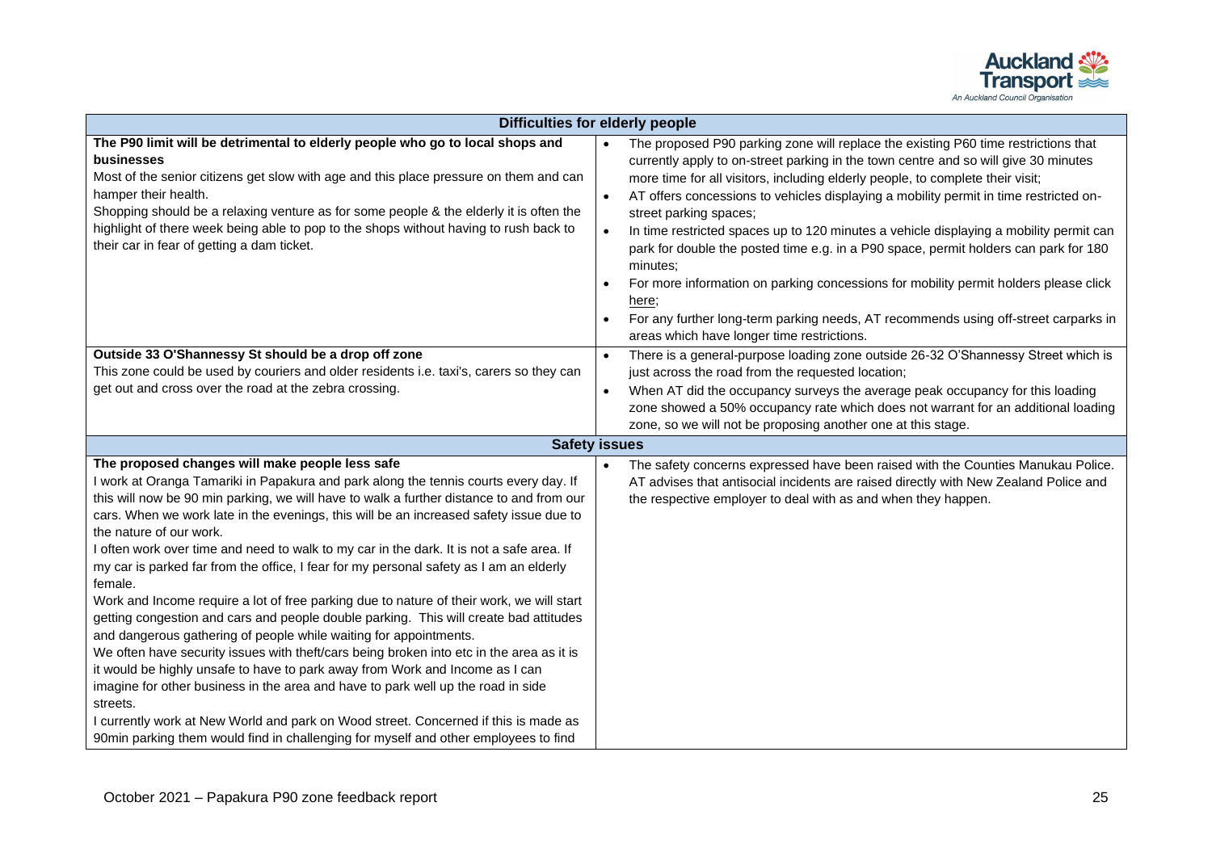

| <b>Difficulties for elderly people</b>                                                                                                                                                                                                                                                                                                                                                                                                                                                                                                                                                                                                                                                                                                                                                                                                                                                                                                                                                                                                                                                                                                                                                                                                                                        |                                                                                                                                                                                                                                                                                                                                                                                                                                                                                                                                                                                                                                                                                                                                                                                                                                 |  |  |  |
|-------------------------------------------------------------------------------------------------------------------------------------------------------------------------------------------------------------------------------------------------------------------------------------------------------------------------------------------------------------------------------------------------------------------------------------------------------------------------------------------------------------------------------------------------------------------------------------------------------------------------------------------------------------------------------------------------------------------------------------------------------------------------------------------------------------------------------------------------------------------------------------------------------------------------------------------------------------------------------------------------------------------------------------------------------------------------------------------------------------------------------------------------------------------------------------------------------------------------------------------------------------------------------|---------------------------------------------------------------------------------------------------------------------------------------------------------------------------------------------------------------------------------------------------------------------------------------------------------------------------------------------------------------------------------------------------------------------------------------------------------------------------------------------------------------------------------------------------------------------------------------------------------------------------------------------------------------------------------------------------------------------------------------------------------------------------------------------------------------------------------|--|--|--|
| The P90 limit will be detrimental to elderly people who go to local shops and<br>businesses<br>Most of the senior citizens get slow with age and this place pressure on them and can<br>hamper their health.<br>Shopping should be a relaxing venture as for some people & the elderly it is often the<br>highlight of there week being able to pop to the shops without having to rush back to<br>their car in fear of getting a dam ticket.                                                                                                                                                                                                                                                                                                                                                                                                                                                                                                                                                                                                                                                                                                                                                                                                                                 | The proposed P90 parking zone will replace the existing P60 time restrictions that<br>currently apply to on-street parking in the town centre and so will give 30 minutes<br>more time for all visitors, including elderly people, to complete their visit;<br>AT offers concessions to vehicles displaying a mobility permit in time restricted on-<br>street parking spaces;<br>In time restricted spaces up to 120 minutes a vehicle displaying a mobility permit can<br>park for double the posted time e.g. in a P90 space, permit holders can park for 180<br>minutes;<br>For more information on parking concessions for mobility permit holders please click<br>here;<br>For any further long-term parking needs, AT recommends using off-street carparks in<br>$\bullet$<br>areas which have longer time restrictions. |  |  |  |
| Outside 33 O'Shannessy St should be a drop off zone<br>This zone could be used by couriers and older residents i.e. taxi's, carers so they can<br>get out and cross over the road at the zebra crossing.                                                                                                                                                                                                                                                                                                                                                                                                                                                                                                                                                                                                                                                                                                                                                                                                                                                                                                                                                                                                                                                                      | There is a general-purpose loading zone outside 26-32 O'Shannessy Street which is<br>$\bullet$<br>just across the road from the requested location;<br>When AT did the occupancy surveys the average peak occupancy for this loading<br>zone showed a 50% occupancy rate which does not warrant for an additional loading<br>zone, so we will not be proposing another one at this stage.                                                                                                                                                                                                                                                                                                                                                                                                                                       |  |  |  |
| <b>Safety issues</b>                                                                                                                                                                                                                                                                                                                                                                                                                                                                                                                                                                                                                                                                                                                                                                                                                                                                                                                                                                                                                                                                                                                                                                                                                                                          |                                                                                                                                                                                                                                                                                                                                                                                                                                                                                                                                                                                                                                                                                                                                                                                                                                 |  |  |  |
| The proposed changes will make people less safe<br>I work at Oranga Tamariki in Papakura and park along the tennis courts every day. If<br>this will now be 90 min parking, we will have to walk a further distance to and from our<br>cars. When we work late in the evenings, this will be an increased safety issue due to<br>the nature of our work.<br>I often work over time and need to walk to my car in the dark. It is not a safe area. If<br>my car is parked far from the office, I fear for my personal safety as I am an elderly<br>female.<br>Work and Income require a lot of free parking due to nature of their work, we will start<br>getting congestion and cars and people double parking. This will create bad attitudes<br>and dangerous gathering of people while waiting for appointments.<br>We often have security issues with theft/cars being broken into etc in the area as it is<br>it would be highly unsafe to have to park away from Work and Income as I can<br>imagine for other business in the area and have to park well up the road in side<br>streets.<br>I currently work at New World and park on Wood street. Concerned if this is made as<br>90min parking them would find in challenging for myself and other employees to find | The safety concerns expressed have been raised with the Counties Manukau Police.<br>$\bullet$<br>AT advises that antisocial incidents are raised directly with New Zealand Police and<br>the respective employer to deal with as and when they happen.                                                                                                                                                                                                                                                                                                                                                                                                                                                                                                                                                                          |  |  |  |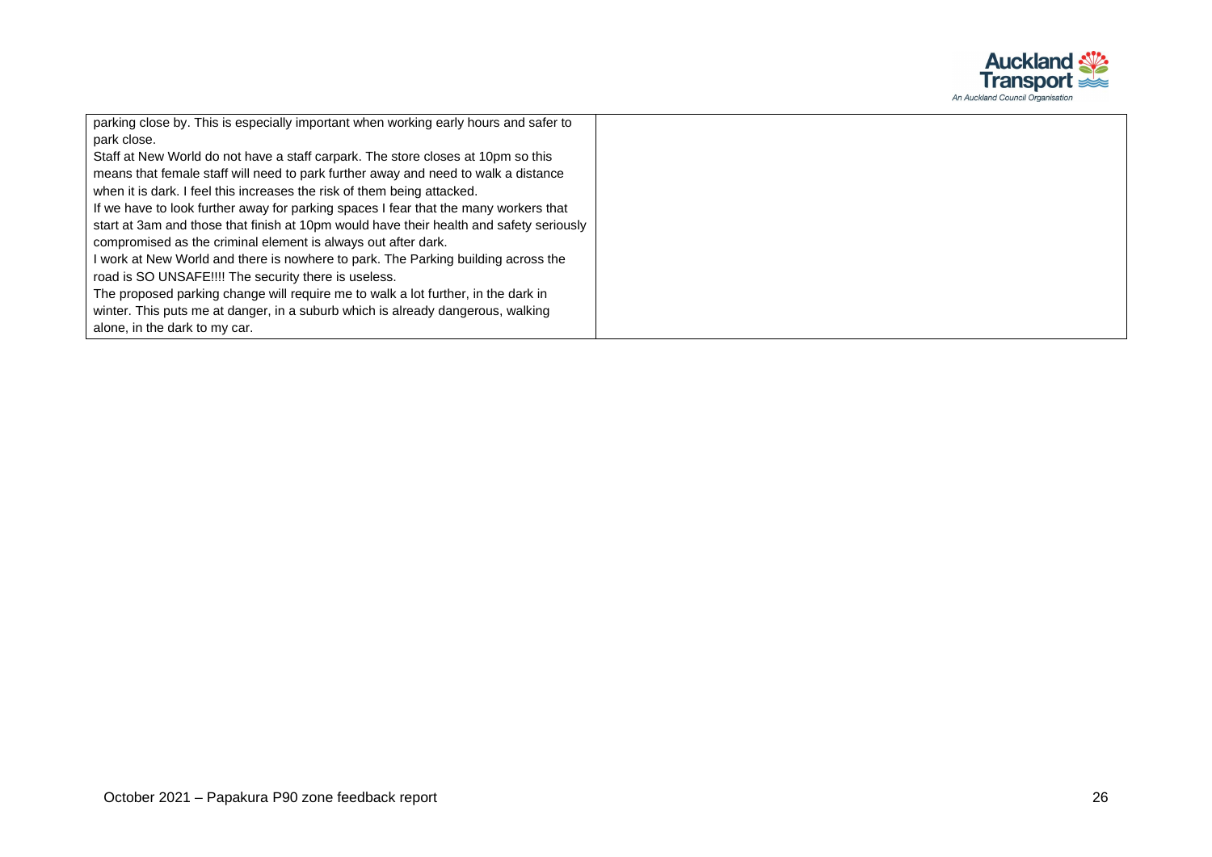

| parking close by. This is especially important when working early hours and safer to    |
|-----------------------------------------------------------------------------------------|
| park close.                                                                             |
| Staff at New World do not have a staff carpark. The store closes at 10pm so this        |
| means that female staff will need to park further away and need to walk a distance      |
| when it is dark. I feel this increases the risk of them being attacked.                 |
| If we have to look further away for parking spaces I fear that the many workers that    |
| start at 3am and those that finish at 10pm would have their health and safety seriously |
| compromised as the criminal element is always out after dark.                           |
| I work at New World and there is nowhere to park. The Parking building across the       |
| road is SO UNSAFE!!!! The security there is useless.                                    |
| The proposed parking change will require me to walk a lot further, in the dark in       |
| winter. This puts me at danger, in a suburb which is already dangerous, walking         |
| alone, in the dark to my car.                                                           |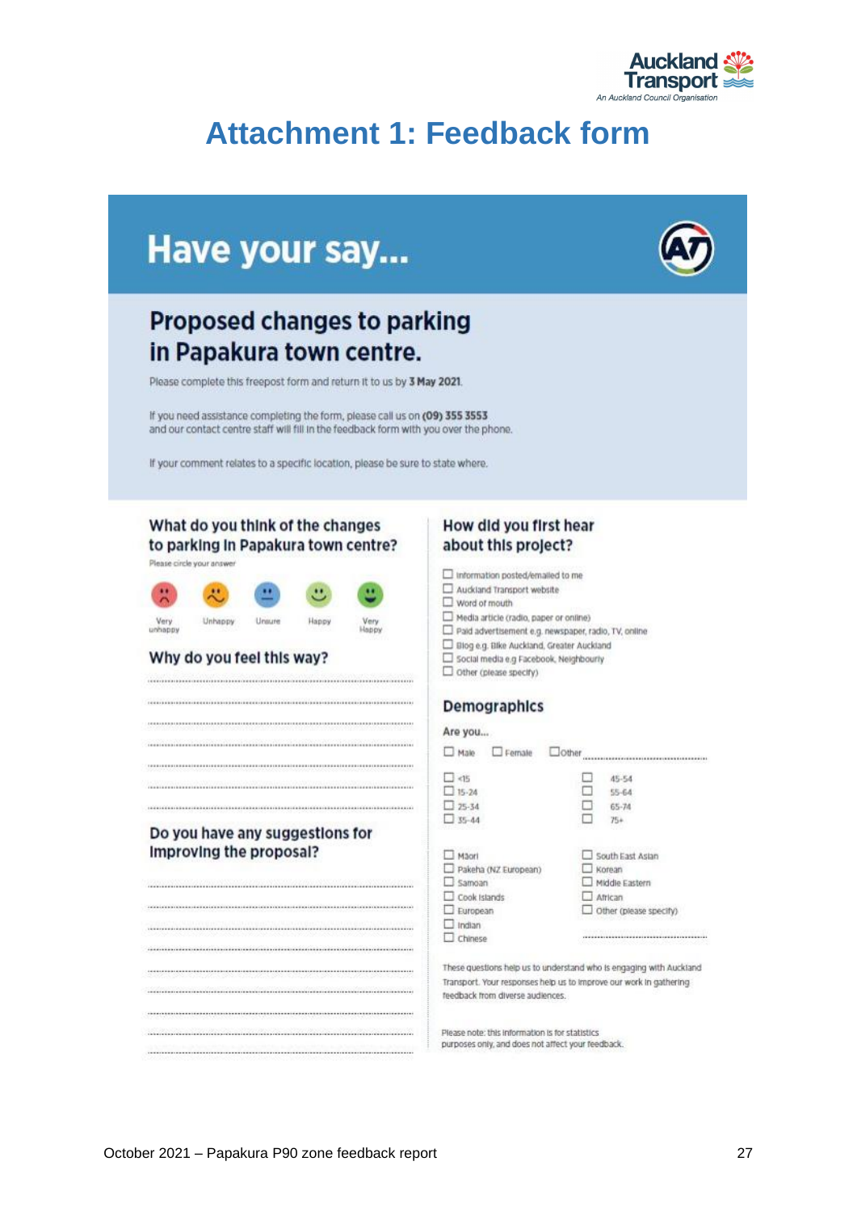

## <span id="page-27-0"></span>**Attachment 1: Feedback form**

## Have your say...

## **Proposed changes to parking** in Papakura town centre.

Please complete this freepost form and return it to us by 3 May 2021.

If you need assistance completing the form, please call us on (09) 355 3553 and our contact centre staff will fill in the feedback form with you over the phone.

Very<br>Happy

If your comment relates to a specific location, please be sure to state where.

#### What do you think of the changes to parking in Papakura town centre?

Please circle your answer



#### Why do you feel this way?

#### Do you have any suggestions for Improving the proposal?

## 

#### How did you first hear about this project?

Information posted/emailed to me

- $\square$  Auddand Transport website
- $\square$  word of mouth
- Media article (radio, paper or online)
- Paid advertisement e.g. newspaper, radio, TV, online
- D Blog e.g. Blke Auckland, Greater Auckland
- Social media e.g Facebook, Neighbourly
- $\Box$  other (please specify)

#### **Demographics**

#### Are you...

 $\Box \ \mathsf{Male} \quad \ \Box \ \mathsf{Female} \quad \ \Box \mathsf{Other} \ \mathsf{momentum} \ \mathsf{momentum} \ \mathsf{momentum} \ \mathsf{current} \ \mathsf{current} \ \mathsf{current} \ \mathsf{current} \ \mathsf{current} \ \mathsf{current} \ \mathsf{current} \ \mathsf{current} \ \mathsf{format} \ \mathsf{format} \ \mathsf{format} \ \mathsf{format} \ \mathsf{format} \ \mathsf{format} \ \mathsf{format} \ \mathsf{format} \ \mathsf{format} \ \mathsf{format} \ \mathsf{format} \ \mathsf{format} \ \mathsf{format} \ \mathsf{format} \ \mathsf{format} \$ 

| <15                  | 45-54<br>٠             |  |  |
|----------------------|------------------------|--|--|
| $15 - 24$            | $55 - 64$              |  |  |
| $25 - 34$            | $65 - 74$<br>÷         |  |  |
| $-35 - 44$           | Ó<br>$75+$             |  |  |
| Mägri                | South East Aslan<br>L  |  |  |
| Pakeha (NZ European) | Korean                 |  |  |
| Samoan               | Middle Eastern<br>- 1  |  |  |
| Cook Islands         | African<br>L.          |  |  |
| European             | Other (please specify) |  |  |
| Indian               |                        |  |  |
| Chinese              |                        |  |  |
|                      |                        |  |  |

These questions help us to understand who is engaging with Auckland Transport. Your responses help us to improve our work in gathering feedback from diverse audiences.

Please note: this information is for statistics purposes only, and does not affect your feedback.

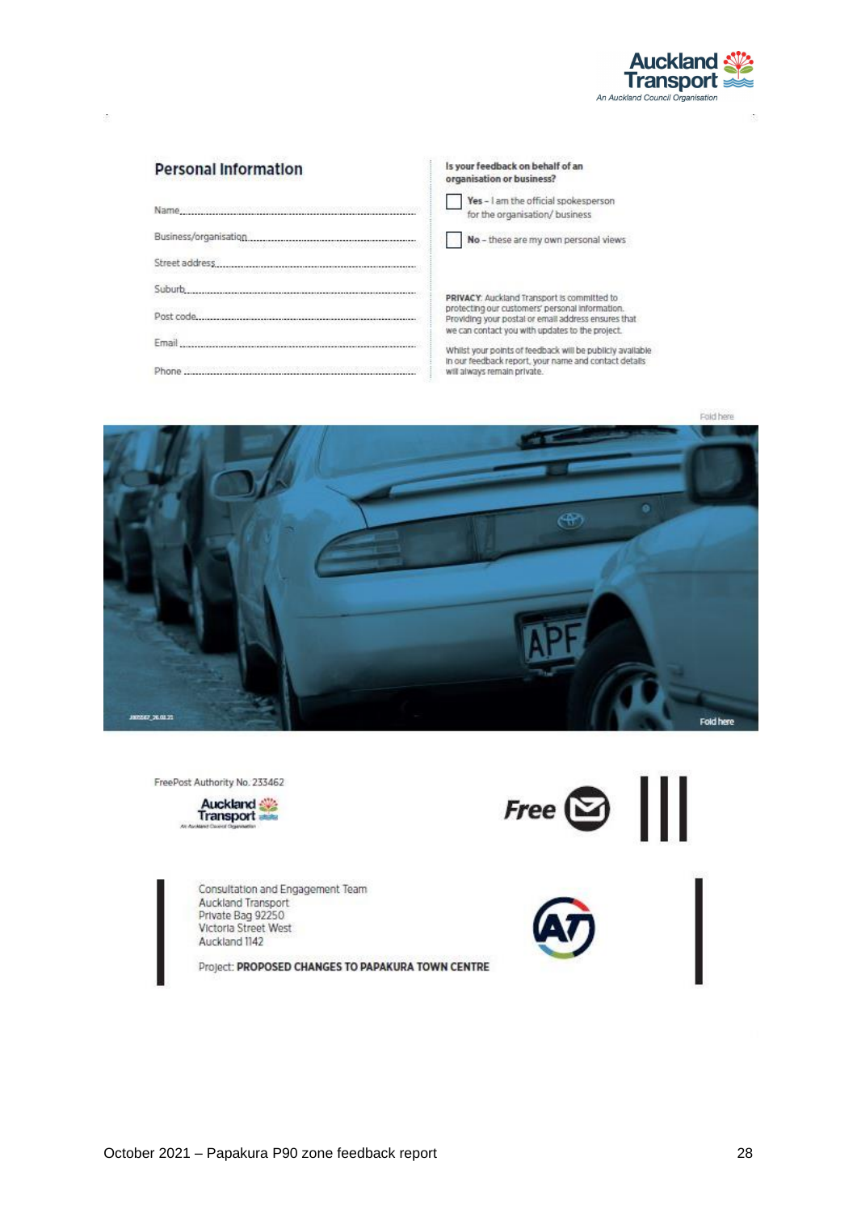

 $\lambda$ 

#### **Personal Information**

| N                              |
|--------------------------------|
|                                |
| PRIVAC                         |
| protecti<br>Providin<br>we can |
| Whilst y                       |
| In our fe<br>will alwa         |

#### Is your feedback on behalf of an organisation or business? es - I am the official spokesperson or the organisation/ business lo - these are my own personal views

.<br>CY: Auckland Transport is committed to<br>ing our customers' personal information.<br>ng your postal or email address ensures that contact you with updates to the project.

your points of feedback will be publicly available.<br>eedback report, your name and contact details ays remain private.



FreePost Authority No. 233462



Consultation and Engagement Team Auckland Transport Private Bag 92250 Victoria Street West Auckland 1142

Project: PROPOSED CHANGES TO PAPAKURA TOWN CENTRE



 $\tilde{\mathcal{C}}$